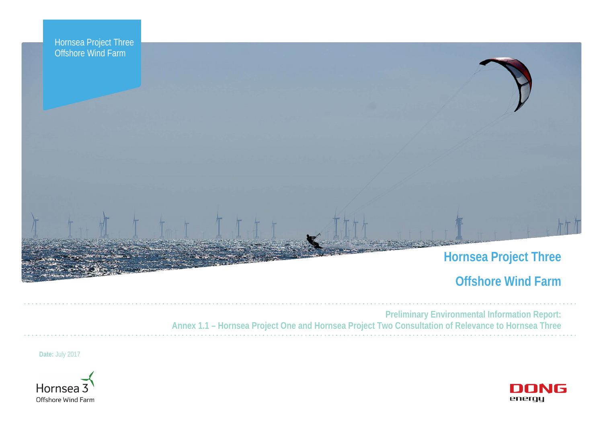

# **Offshore Wind Farm**



**Preliminary Environmental Information Report: Annex 1.1 – Hornsea Project One and Hornsea Project Two Consultation of Relevance to Hornsea Three**

**Date:** July 2017

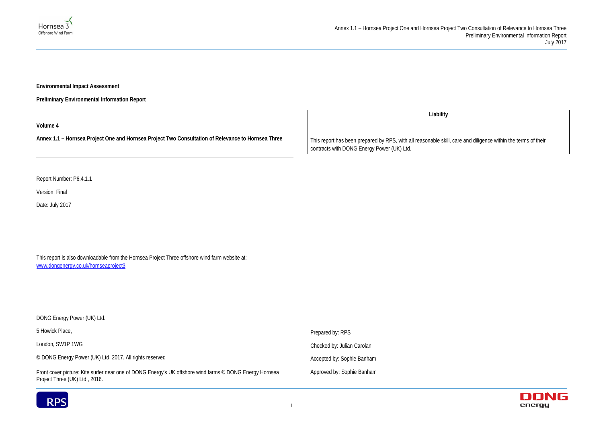### Annex 1.1 – Hornsea Project One and Hornsea Project Two Consultation of Relevance to Hornsea Three Preliminary Environmental Information Report July 2017



**Environmental Impact Assessment** 

**Preliminary Environmental Information Report**

**Volume 4**

**Annex 1.1 – Hornsea Project One and Hornsea Project Two Consultation of Relevance to Hornsea Three**

Report Number: P6.4.1.1

Version: Final

Date: July 2017

This report is also downloadable from the Hornsea Project Three offshore wind farm website at: [www.dongenergy.co.uk/hornseaproject3](http://www.dongenergy.co.uk/hornseaproject3)

DONG Energy Power (UK) Ltd. 5 Howick Place, London, SW1P 1WG © DONG Energy Power (UK) Ltd, 2017. All rights reserved Front cover picture: Kite surfer near one of DONG Energy's UK offshore wind farms © DONG Energy Hornsea Prepared by: RPS Checked by: Julian Carolan Accepted by: Sophie Banham Approved by: Sophie Banham



Project Three (UK) Ltd., 2016.

**Liability**

This report has been prepared by RPS, with all reasonable skill, care and diligence within the terms of their contracts with DONG Energy Power (UK) Ltd.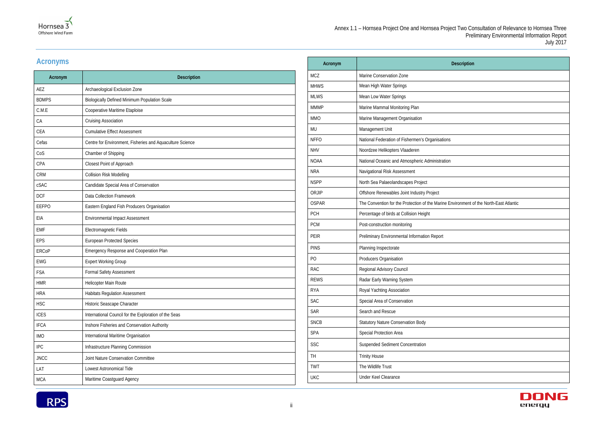

| escription                          |
|-------------------------------------|
|                                     |
|                                     |
|                                     |
|                                     |
|                                     |
|                                     |
|                                     |
|                                     |
|                                     |
|                                     |
|                                     |
|                                     |
|                                     |
|                                     |
| ironment of the North-East Atlantic |
|                                     |
|                                     |
|                                     |
|                                     |
|                                     |
|                                     |
|                                     |
|                                     |
|                                     |
|                                     |
|                                     |
|                                     |
|                                     |
|                                     |
|                                     |
|                                     |
|                                     |
|                                     |
|                                     |



### **Acronyms**

| Acronym      | Description                                               |
|--------------|-----------------------------------------------------------|
| AEZ          | Archaeological Exclusion Zone                             |
| <b>BDMPS</b> | Biologically Defined Minimum Population Scale             |
| C.M.E        | Cooperative Maritime Etaploise                            |
| CA           | <b>Cruising Association</b>                               |
| CEA          | <b>Cumulative Effect Assessment</b>                       |
| Cefas        | Centre for Environment, Fisheries and Aquaculture Science |
| CoS          | Chamber of Shipping                                       |
| CPA          | Closest Point of Approach                                 |
| <b>CRM</b>   | <b>Collision Risk Modelling</b>                           |
| cSAC         | Candidate Special Area of Conservation                    |
| <b>DCF</b>   | <b>Data Collection Framework</b>                          |
| <b>EEFPO</b> | Eastern England Fish Producers Organisation               |
| EIA          | <b>Environmental Impact Assessment</b>                    |
| <b>EMF</b>   | Electromagnetic Fields                                    |
| <b>EPS</b>   | <b>European Protected Species</b>                         |
| <b>ERCoP</b> | Emergency Response and Cooperation Plan                   |
| <b>EWG</b>   | <b>Expert Working Group</b>                               |
| <b>FSA</b>   | <b>Formal Safety Assessment</b>                           |
| <b>HMR</b>   | Helicopter Main Route                                     |
| <b>HRA</b>   | <b>Habitats Regulation Assessment</b>                     |
| <b>HSC</b>   | Historic Seascape Character                               |
| <b>ICES</b>  | International Council for the Exploration of the Seas     |
| <b>IFCA</b>  | Inshore Fisheries and Conservation Authority              |
| <b>IMO</b>   | International Maritime Organisation                       |
| <b>IPC</b>   | Infrastructure Planning Commission                        |
| <b>JNCC</b>  | Joint Nature Conservation Committee                       |
| LAT          | Lowest Astronomical Tide                                  |
| <b>MCA</b>   | Maritime Coastguard Agency                                |

| Acronym      | <b>Description</b>                                                                     |
|--------------|----------------------------------------------------------------------------------------|
| <b>MCZ</b>   | Marine Conservation Zone                                                               |
| <b>MHWS</b>  | Mean High Water Springs                                                                |
| <b>MLWS</b>  | Mean Low Water Springs                                                                 |
| <b>MMMP</b>  | Marine Mammal Monitoring Plan                                                          |
| <b>MMO</b>   | Marine Management Organisation                                                         |
| <b>MU</b>    | Management Unit                                                                        |
| <b>NFFO</b>  | National Federation of Fishermen's Organisations                                       |
| <b>NHV</b>   | Noordzee Helikopters Vlaaderen                                                         |
| <b>NOAA</b>  | National Oceanic and Atmospheric Administration                                        |
| <b>NRA</b>   | Navigational Risk Assessment                                                           |
| <b>NSPP</b>  | North Sea Palaeolandscapes Project                                                     |
| ORJIP        | Offshore Renewables Joint Industry Project                                             |
| <b>OSPAR</b> | The Convention for the Protection of the Marine Environment of the North-East Atlantic |
| <b>PCH</b>   | Percentage of birds at Collision Height                                                |
| <b>PCM</b>   | Post-construction monitoring                                                           |
| <b>PEIR</b>  | Preliminary Environmental Information Report                                           |
| <b>PINS</b>  | Planning Inspectorate                                                                  |
| PO           | Producers Organisation                                                                 |
| <b>RAC</b>   | Regional Advisory Council                                                              |
| <b>REWS</b>  | Radar Early Warning System                                                             |
| <b>RYA</b>   | Royal Yachting Association                                                             |
| <b>SAC</b>   | Special Area of Conservation                                                           |
| <b>SAR</b>   | Search and Rescue                                                                      |
| <b>SNCB</b>  | <b>Statutory Nature Conservation Body</b>                                              |
| <b>SPA</b>   | Special Protection Area                                                                |
| <b>SSC</b>   | <b>Suspended Sediment Concentration</b>                                                |
| TH.          | <b>Trinity House</b>                                                                   |
| <b>TWT</b>   | The Wildlife Trust                                                                     |
| <b>UKC</b>   | <b>Under Keel Clearance</b>                                                            |

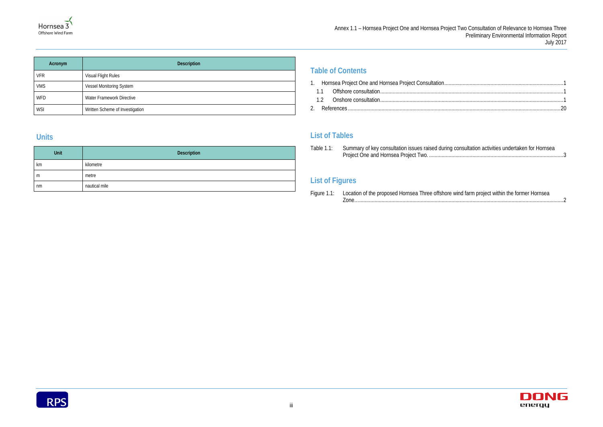### Annex 1.1 – Hornsea Project One and Hornsea Project Two Consultation of Relevance to Hornsea Three Preliminary Environmental Information Report July 2017

| consultation activities undertaken for Hornsea |  |
|------------------------------------------------|--|
|                                                |  |

| Acronym    | <b>Description</b>              |  |  |  |
|------------|---------------------------------|--|--|--|
| <b>VFR</b> | Visual Flight Rules             |  |  |  |
| <b>VMS</b> | Vessel Monitoring System        |  |  |  |
| <b>WFD</b> | Water Framework Directive       |  |  |  |
| <b>WSI</b> | Written Scheme of Investigation |  |  |  |

### **Units**

| Unit | Description   |
|------|---------------|
| km   | kilometre     |
| m    | metre         |
| nm   | nautical mile |

### **Table of Contents**

|--|--|

Table 1.1: Summary of key consultation issues raised during consultation Project One and Hornsea Project Two. [................................................................................................3](#page-6-0)

- 1.1 [Offshore consultation...................................................................................................................................1](#page-4-1)
- 1.2 [Onshore consultation...................................................................................................................................1](#page-4-2)
- 2. References [........................................................................................................................................................20](#page-23-0)

### **List of Tables**

### **List of Figures**

| Figure 1.1: Location of the proposed Hornsea Three offshore wind farm project within the former Hornsea |  |
|---------------------------------------------------------------------------------------------------------|--|
|                                                                                                         |  |



| Location of the proposed Hornsea Three offshore wind farm project within the former Hornsea |  |
|---------------------------------------------------------------------------------------------|--|
|                                                                                             |  |

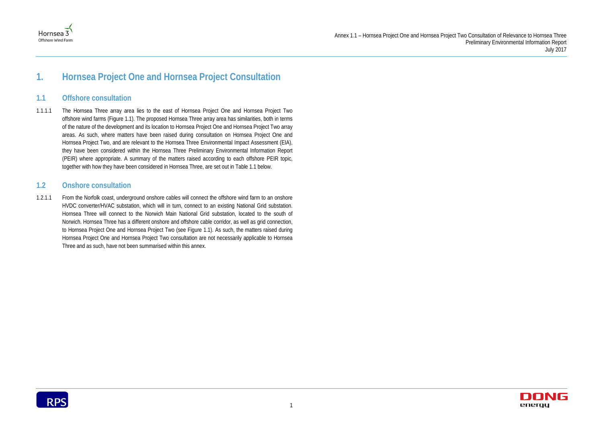



## <span id="page-4-0"></span>**1. Hornsea Project One and Hornsea Project Consultation**

### <span id="page-4-1"></span>**1.1 Offshore consultation**

1.1.1.1 The Hornsea Three array area lies to the east of Hornsea Project One and Hornsea Project Two offshore wind farms [\(Figure 1.1\)](#page-5-0). The proposed Hornsea Three array area has similarities, both in terms of the nature of the development and its location to Hornsea Project One and Hornsea Project Two array areas. As such, where matters have been raised during consultation on Hornsea Project One and Hornsea Project Two, and are relevant to the Hornsea Three Environmental Impact Assessment (EIA), they have been considered within the Hornsea Three Preliminary Environmental Information Report (PEIR) where appropriate. A summary of the matters raised according to each offshore PEIR topic, together with how they have been considered in Hornsea Three, are set out in [Table 1.1](#page-6-0) below.

### <span id="page-4-2"></span>**1.2 Onshore consultation**

1.2.1.1 From the Norfolk coast, underground onshore cables will connect the offshore wind farm to an onshore HVDC converter/HVAC substation, which will in turn, connect to an existing National Grid substation. Hornsea Three will connect to the Norwich Main National Grid substation, located to the south of Norwich. Hornsea Three has a different onshore and offshore cable corridor, as well as grid connection, to Hornsea Project One and Hornsea Project Two (see [Figure 1.1\)](#page-5-0). As such, the matters raised during Hornsea Project One and Hornsea Project Two consultation are not necessarily applicable to Hornsea Three and as such, have not been summarised within this annex.

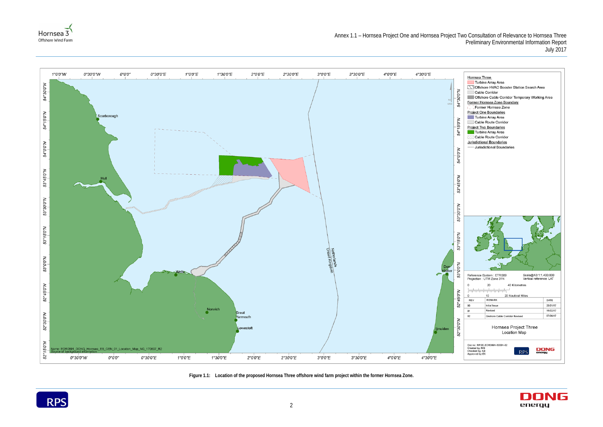







<span id="page-5-0"></span>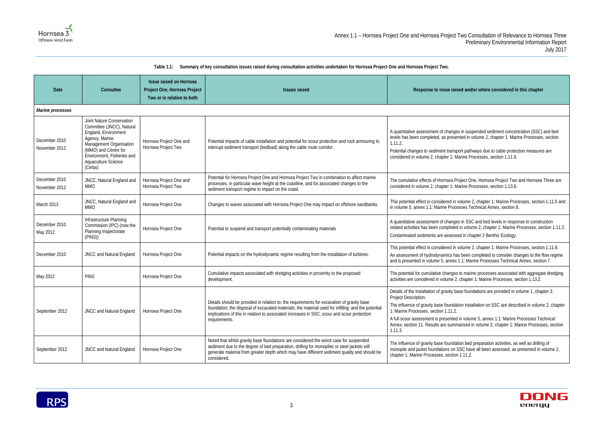

### **Table 1.1: Summary of key consultation issues raised during consultation activities undertaken for Hornsea Project One and Hornsea Project Two.**

<span id="page-6-0"></span>

| <b>Date</b>                    | Consultee                                                                                                                                                                                                           | Issue raised on Hornsea<br>Project One, Hornsea Project<br><b>Issues raised</b><br>Two or in relation to both |                                                                                                                                                                                                                                                                                                                   | Response to issue raised and/or where considered in this chapter                                                                                                                                                                                                                                                                                                                                                                                                     |  |
|--------------------------------|---------------------------------------------------------------------------------------------------------------------------------------------------------------------------------------------------------------------|---------------------------------------------------------------------------------------------------------------|-------------------------------------------------------------------------------------------------------------------------------------------------------------------------------------------------------------------------------------------------------------------------------------------------------------------|----------------------------------------------------------------------------------------------------------------------------------------------------------------------------------------------------------------------------------------------------------------------------------------------------------------------------------------------------------------------------------------------------------------------------------------------------------------------|--|
| Marine processes               |                                                                                                                                                                                                                     |                                                                                                               |                                                                                                                                                                                                                                                                                                                   |                                                                                                                                                                                                                                                                                                                                                                                                                                                                      |  |
| December 2010<br>November 2012 | Joint Nature Conservation<br>Committee (JNCC), Natural<br>England, Environment<br>Agency, Marine<br>Management Organisation<br>(MMO) and Centre for<br>Environment, Fisheries and<br>Aquaculture Science<br>(Cefas) | Hornsea Project One and<br>Hornsea Project Two                                                                | Potential impacts of cable installation and potential for scour protection and rock armouring to<br>interrupt sediment transport (bedload) along the cable route corridor.                                                                                                                                        | A quantitative assessment of changes in suspended sediment concentration (SSC) and bed<br>levels has been completed, as presented in volume 2, chapter 1: Marine Processes, section<br>1.11.2.<br>Potential changes to sediment transport pathways due to cable protection measures are<br>considered in volume 2, chapter 1: Marine Processes, section 1.11.9.                                                                                                      |  |
| December 2010<br>November 2012 | JNCC, Natural England and<br><b>MMO</b>                                                                                                                                                                             | Hornsea Project One and<br>Hornsea Project Two                                                                | Potential for Hornsea Project One and Hornsea Project Two in combination to affect marine<br>processes, in particular wave height at the coastline, and for associated changes to the<br>sediment transport regime to impact on the coast.                                                                        | The cumulative effects of Hornsea Project One, Hornsea Project Two and Hornsea Three are<br>considered in volume 2, chapter 1: Marine Processes, section 1.13.6.                                                                                                                                                                                                                                                                                                     |  |
| March 2013                     | JNCC, Natural England and<br><b>MMO</b>                                                                                                                                                                             | Hornsea Project One                                                                                           | Changes to waves associated with Hornsea Project One may impact on offshore sandbanks.                                                                                                                                                                                                                            | This potential effect is considered in volume 2, chapter 1: Marine Processes, section 1.11.6 and<br>in volume 5, annex 1.1: Marine Processes Technical Annex, section 8.                                                                                                                                                                                                                                                                                             |  |
| December 2010<br>May 2012      | Infrastructure Planning<br>Commission (IPC) (now the<br>Planning Inspectorate<br>(PINS))                                                                                                                            | Hornsea Project One                                                                                           | Potential to suspend and transport potentially contaminating materials                                                                                                                                                                                                                                            | A quantitative assessment of changes in SSC and bed levels in response to construction<br>related activities has been completed in volume 2, chapter 1: Marine Processes, section 1.11.2.<br>Contaminated sediments are assessed in chapter 2 Benthic Ecology.                                                                                                                                                                                                       |  |
| December 2010                  | JNCC and Natural England                                                                                                                                                                                            | Hornsea Project One                                                                                           | Potential impacts on the hydrodynamic regime resulting from the installation of turbines.                                                                                                                                                                                                                         | This potential effect is considered in volume 2, chapter 1: Marine Processes, section 1.11.6.<br>An assessment of hydrodynamics has been completed to consider changes to the flow regime<br>and is presented in volume 5, annex 1.1: Marine Processes Technical Annex, section 7.                                                                                                                                                                                   |  |
| May 2012                       | <b>PINS</b>                                                                                                                                                                                                         | Hornsea Project One                                                                                           | Cumulative impacts associated with dredging activities in proximity to the proposed<br>development.                                                                                                                                                                                                               | The potential for cumulative changes to marine processes associated with aggregate dredging<br>activities are considered in volume 2, chapter 1: Marine Processes, section 1.13.2.                                                                                                                                                                                                                                                                                   |  |
| September 2012                 | JNCC and Natural England                                                                                                                                                                                            | Hornsea Project One                                                                                           | Details should be provided in relation to: the requirements for excavation of gravity base<br>foundation; the disposal of excavated materials; the material used for infilling; and the potential<br>implications of this in relation to associated increases in SSC, scour and scour protection<br>requirements. | Details of the installation of gravity base foundations are provided in volume 1, chapter 3:<br>Project Description.<br>The influence of gravity base foundation installation on SSC are described in volume 2, chapter<br>1: Marine Processes, section 1.11.2.<br>A full scour assessment is presented in volume 5, annex 1.1: Marine Processes Technical<br>Annex, section 11. Results are summarised in volume 2, chapter 1: Marine Processes, section<br>1.11.3. |  |
| September 2012                 | JNCC and Natural England                                                                                                                                                                                            | Hornsea Project One                                                                                           | Noted that whilst gravity base foundations are considered the worst case for suspended<br>sediment due to the degree of bed preparation, drilling for monopiles or steel jackets will<br>generate material from greater depth which may have different sediment quality and should be<br>considered.              | The influence of gravity base foundation bed preparation activities, as well as drilling of<br>monopile and jacket foundations on SSC have all been assessed, as presented in volume 2,<br>chapter 1: Marine Processes, section 1.11.2.                                                                                                                                                                                                                              |  |

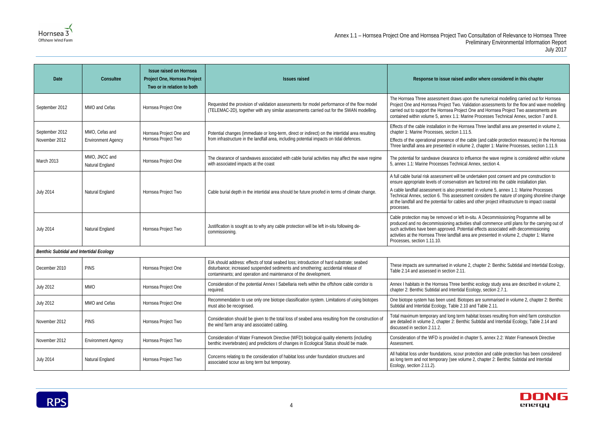#### **Ised and/or where considered in this chapter**

Iws upon the numerical modelling carried out for Hornsea wo. Validation assessments for the flow and wave modelling Project One and Hornsea Project Two assessments are 1: Marine Processes Technical Annex, section 7 and 8.

Hornsea Three landfall area are presented in volume 2, n 1.11.5.

of the cable (and cable protection measures) in the Hornsea volume 2, chapter 1: Marine Processes, section 1.11.9.

te to influence the wave regime is considered within volume chnical Annex, section 4.

vill be undertaken post consent and pre construction to vatism are factored into the cable installation plan.

presented in volume 5, annex 1.1: Marine Processes sessment considers the nature of ongoing shoreline change ables and other project infrastructure to impact coastal

cleft in-situ. A Decommissioning Programme will be activities shall commence until plans for the carrying out of Potential effects associated with decommissioning fall area are presented in volume 2, chapter 1: Marine

olume 2, chapter 2: Benthic Subtidal and Intertidal Ecology,  $2.11.$ 

ee benthic ecology study area are described in volume 2, rtidal Ecology, section 2.7.1.

Biotopes are summarised in volume 2, chapter 2: Benthic le 2.10 and Table 2.11.

term habitat losses resulting from wind farm construction Benthic Subtidal and Intertidal Ecology, Table 2.14 and

ed in chapter 5, annex 2.2: Water Framework Directive

cour protection and cable protection has been considered as volume 2, chapter 2: Benthic Subtidal and Intertidal



| Date                                           | Consultee                                   | <b>Issue raised on Hornsea</b><br>Project One, Hornsea Project<br>Two or in relation to both | <b>Issues raised</b>                                                                                                                                                                                                                            | Response to issue rais                                                                                                                                                                                                   |
|------------------------------------------------|---------------------------------------------|----------------------------------------------------------------------------------------------|-------------------------------------------------------------------------------------------------------------------------------------------------------------------------------------------------------------------------------------------------|--------------------------------------------------------------------------------------------------------------------------------------------------------------------------------------------------------------------------|
| September 2012                                 | MMO and Cefas                               | Hornsea Project One                                                                          | Requested the provision of validation assessments for model performance of the flow model<br>(TELEMAC-2D), together with any similar assessments carried out for the SWAN modelling.                                                            | The Hornsea Three assessment dray<br>Project One and Hornsea Project Tw<br>carried out to support the Hornsea P<br>contained within volume 5, annex 1.                                                                   |
| September 2012<br>November 2012                | MMO, Cefas and<br><b>Environment Agency</b> | Hornsea Project One and<br>Hornsea Project Two                                               | Potential changes (immediate or long-term, direct or indirect) on the intertidal area resulting<br>from infrastructure in the landfall area, including potential impacts on tidal defences.                                                     | Effects of the cable installation in the<br>chapter 1: Marine Processes, section<br>Effects of the operational presence o<br>Three landfall area are presented in                                                        |
| March 2013                                     | MMO, JNCC and<br>Natural England            | Hornsea Project One                                                                          | The clearance of sandwaves associated with cable burial activities may affect the wave regime<br>with associated impacts at the coast                                                                                                           | The potential for sandwave clearanc<br>5, annex 1.1: Marine Processes Tecl                                                                                                                                               |
| <b>July 2014</b>                               | Natural England                             | Hornsea Project Two                                                                          | Cable burial depth in the intertidal area should be future proofed in terms of climate change.                                                                                                                                                  | A full cable burial risk assessment w<br>ensure appropriate levels of conserv<br>A cable landfall assessment is also p<br>Technical Annex, section 6. This ass<br>at the landfall and the potential for ca<br>processes. |
| <b>July 2014</b>                               | Natural England                             | Hornsea Project Two                                                                          | Justification is sought as to why any cable protection will be left in-situ following de-<br>commissioning.                                                                                                                                     | Cable protection may be removed or<br>produced and no decommissioning a<br>such activities have been approved.<br>activities at the Hornsea Three landfa<br>Processes, section 1.11.10.                                  |
| <b>Benthic Subtidal and Intertidal Ecology</b> |                                             |                                                                                              |                                                                                                                                                                                                                                                 |                                                                                                                                                                                                                          |
| December 2010                                  | <b>PINS</b>                                 | Hornsea Project One                                                                          | EIA should address: effects of total seabed loss; introduction of hard substrate; seabed<br>disturbance; increased suspended sediments and smothering; accidental release of<br>contaminants; and operation and maintenance of the development. | These impacts are summarised in vo<br>Table 2.14 and assessed in section:                                                                                                                                                |
| <b>July 2012</b>                               | <b>MMO</b>                                  | Hornsea Project One                                                                          | Consideration of the potential Annex I Sabellaria reefs within the offshore cable corridor is<br>required.                                                                                                                                      | Annex I habitats in the Hornsea Thre<br>chapter 2: Benthic Subtidal and Inter                                                                                                                                            |
| <b>July 2012</b>                               | MMO and Cefas                               | Hornsea Project One                                                                          | Recommendation to use only one biotope classification system. Limitations of using biotopes<br>must also be recognised.                                                                                                                         | One biotope system has been used.<br>Subtidal and Intertidal Ecology, Table                                                                                                                                              |
| November 2012                                  | <b>PINS</b>                                 | Hornsea Project Two                                                                          | Consideration should be given to the total loss of seabed area resulting from the construction of<br>the wind farm array and associated cabling.                                                                                                | Total maximum temporary and long<br>are detailed in volume 2, chapter 2: I<br>discussed in section 2.11.2.                                                                                                               |
| November 2012                                  | <b>Environment Agency</b>                   | Hornsea Project Two                                                                          | Consideration of Water Framework Directive (WFD) biological quality elements (including<br>benthic invertebrates) and predictions of changes in Ecological Status should be made.                                                               | Consideration of the WFD is provide<br>Assessment.                                                                                                                                                                       |
| <b>July 2014</b>                               | Natural England                             | Hornsea Project Two                                                                          | Concerns relating to the consideration of habitat loss under foundation structures and<br>associated scour as long term but temporary.                                                                                                          | All habitat loss under foundations, so<br>as long term and not temporary (see<br>Ecology, section 2.11.2).                                                                                                               |

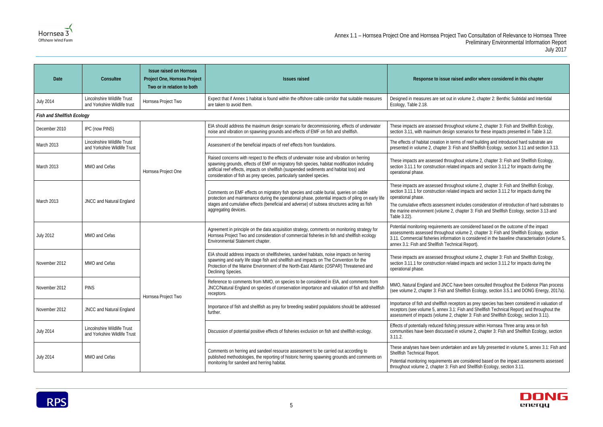## **Ised and/or where considered in this chapter** Designed in volume 2, chapter 2: Benthic Subtidal and Intertidal hout volume 2, chapter 3: Fish and Shellfish Ecology, scenarios for these impacts presented in Table 3.12. hout volume 2, chapter 3: Fish and Shellfish Ecology, ed impacts and section 3.11.2 for impacts during the hout volume 2, chapter 3: Fish and Shellfish Ecology,  $\frac{1}{2}$  ed impacts and section 3.11.2 for impacts during the includes consideration of introduction of hard substrates to chapter 3: Fish and Shellfish Ecology, section 3.13 and re considered based on the outcome of the impact volume 2, chapter 3: Fish and Shellfish Ecology, section ion is considered in the baseline characterisation (volume 5, ical Report). hout volume 2, chapter 3: Fish and Shellfish Ecology, ed impacts and section 3.11.2 for impacts during the

ave been consulted throughout the Evidence Plan process Shellfish Ecology, section 3.5.1 and DONG Energy, 2017a).

ptors as prey species has been considered in valuation of Fish and Shellfish Technical Report) and throughout the hapter 3: Fish and Shellfish Ecology, section 3.11).

ken and are fully presented in volume 5, annex 3.1: Fish and

re considered based on the impact assessments assessed and Shellfish Ecology, section 3.11.



| Date                              | Consultee                                                   | <b>Issue raised on Hornsea</b><br>Project One, Hornsea Project<br>Two or in relation to both | <b>Issues raised</b>                                                                                                                                                                                                                                                                                                                                       | Response to issue raised and/or where considered in this chapter                                                                                                                                                                                                                                                                                                                                                      |
|-----------------------------------|-------------------------------------------------------------|----------------------------------------------------------------------------------------------|------------------------------------------------------------------------------------------------------------------------------------------------------------------------------------------------------------------------------------------------------------------------------------------------------------------------------------------------------------|-----------------------------------------------------------------------------------------------------------------------------------------------------------------------------------------------------------------------------------------------------------------------------------------------------------------------------------------------------------------------------------------------------------------------|
| <b>July 2014</b>                  | Lincolnshire Wildlife Trust<br>and Yorkshire Wildlife trust | Hornsea Project Two                                                                          | Expect that if Annex 1 habitat is found within the offshore cable corridor that suitable measures<br>are taken to avoid them.                                                                                                                                                                                                                              | Designed in measures are set out in volume 2, chapter 2: Benthic Subtidal and Intertidal<br>Ecology, Table 2.18.                                                                                                                                                                                                                                                                                                      |
| <b>Fish and Shellfish Ecology</b> |                                                             |                                                                                              |                                                                                                                                                                                                                                                                                                                                                            |                                                                                                                                                                                                                                                                                                                                                                                                                       |
| December 2010                     | IPC (now PINS)                                              |                                                                                              | EIA should address the maximum design scenario for decommissioning, effects of underwater<br>noise and vibration on spawning grounds and effects of EMF on fish and shellfish.                                                                                                                                                                             | These impacts are assessed throughout volume 2, chapter 3: Fish and Shellfish Ecology,<br>section 3.11, with maximum design scenarios for these impacts presented in Table 3.12.                                                                                                                                                                                                                                      |
| March 2013                        | Lincolnshire Wildlife Trust<br>and Yorkshire Wildlife Trust | Hornsea Project One                                                                          | Assessment of the beneficial impacts of reef effects from foundations.                                                                                                                                                                                                                                                                                     | The effects of habitat creation in terms of reef building and introduced hard substrate are<br>presented in volume 2, chapter 3: Fish and Shellfish Ecology, section 3.11 and section 3.13                                                                                                                                                                                                                            |
| March 2013                        | MMO and Cefas                                               |                                                                                              | Raised concerns with respect to the effects of underwater noise and vibration on herring<br>spawning grounds, effects of EMF on migratory fish species, habitat modification including<br>artificial reef effects, impacts on shellfish (suspended sediments and habitat loss) and<br>consideration of fish as prey species, particularly sandeel species. | These impacts are assessed throughout volume 2, chapter 3: Fish and Shellfish Ecology,<br>section 3.11.1 for construction related impacts and section 3.11.2 for impacts during the<br>operational phase.                                                                                                                                                                                                             |
| March 2013                        | JNCC and Natural England                                    |                                                                                              | Comments on EMF effects on migratory fish species and cable burial, queries on cable<br>protection and maintenance during the operational phase, potential impacts of piling on early life<br>stages and cumulative effects (beneficial and adverse) of subsea structures acting as fish<br>aggregating devices.                                           | These impacts are assessed throughout volume 2, chapter 3: Fish and Shellfish Ecology,<br>section 3.11.1 for construction related impacts and section 3.11.2 for impacts during the<br>operational phase.<br>The cumulative effects assessment includes consideration of introduction of hard substrates<br>the marine environment (volume 2, chapter 3: Fish and Shellfish Ecology, section 3.13 and<br>Table 3.22). |
| <b>July 2012</b>                  | MMO and Cefas                                               |                                                                                              | Agreement in principle on the data acquisition strategy, comments on monitoring strategy for<br>Hornsea Project Two and consideration of commercial fisheries in fish and shellfish ecology<br>Environmental Statement chapter.                                                                                                                            | Potential monitoring requirements are considered based on the outcome of the impact<br>assessments assessed throughout volume 2, chapter 3: Fish and Shellfish Ecology, section<br>3.11. Commercial fisheries information is considered in the baseline characterisation (volum<br>annex 3.1: Fish and Shellfish Technical Report).                                                                                   |
| November 2012                     | MMO and Cefas                                               |                                                                                              | EIA should address impacts on shellfisheries, sandeel habitats, noise impacts on herring<br>spawning and early life stage fish and shellfish and impacts on The Convention for the<br>Protection of the Marine Environment of the North-East Atlantic (OSPAR) Threatened and<br>Declining Species.                                                         | These impacts are assessed throughout volume 2, chapter 3: Fish and Shellfish Ecology,<br>section 3.11.1 for construction related impacts and section 3.11.2 for impacts during the<br>operational phase.                                                                                                                                                                                                             |
| November 2012                     | <b>PINS</b>                                                 |                                                                                              | Reference to comments from MMO, on species to be considered in EIA, and comments from<br>JNCC/Natural England on species of conservation importance and valuation of fish and shellfish<br>receptors.                                                                                                                                                      | MMO, Natural England and JNCC have been consulted throughout the Evidence Plan proce<br>(see volume 2, chapter 3: Fish and Shellfish Ecology, section 3.5.1 and DONG Energy, 2011                                                                                                                                                                                                                                     |
| November 2012                     | JNCC and Natural England                                    | Hornsea Project Two                                                                          | Importance of fish and shellfish as prey for breeding seabird populations should be addressed<br>further.                                                                                                                                                                                                                                                  | Importance of fish and shellfish receptors as prey species has been considered in valuation<br>receptors (see volume 5, annex 3.1: Fish and Shellfish Technical Report) and throughout th<br>assessment of impacts (volume 2, chapter 3: Fish and Shellfish Ecology, section 3.11).                                                                                                                                   |
| <b>July 2014</b>                  | Lincolnshire Wildlife Trust<br>and Yorkshire Wildlife Trust |                                                                                              | Discussion of potential positive effects of fisheries exclusion on fish and shellfish ecology.                                                                                                                                                                                                                                                             | Effects of potentially reduced fishing pressure within Hornsea Three array area on fish<br>communities have been discussed in volume 2, chapter 3: Fish and Shellfish Ecology, section<br>3.11.2.                                                                                                                                                                                                                     |
| <b>July 2014</b>                  | MMO and Cefas                                               |                                                                                              | Comments on herring and sandeel resource assessment to be carried out according to<br>published methodologies, the reporting of historic herring spawning grounds and comments on<br>monitoring for sandeel and herring habitat.                                                                                                                           | These analyses have been undertaken and are fully presented in volume 5, annex 3.1: Fish<br>Shellfish Technical Report.<br>Potential monitoring requirements are considered based on the impact assessments assess<br>throughout volume 2, chapter 3: Fish and Shellfish Ecology, section 3.11.                                                                                                                       |
|                                   |                                                             |                                                                                              |                                                                                                                                                                                                                                                                                                                                                            |                                                                                                                                                                                                                                                                                                                                                                                                                       |

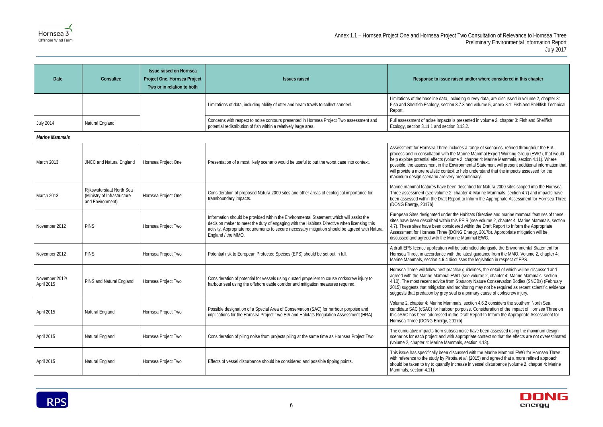

#### **Ised and/or where considered in this chapter**

uding survey data, are discussed in volume 2, chapter 3: 8.7.8 and volume 5, annex 3.1: Fish and Shellfish Technical

presented in volume 2, chapter 3: Fish and Shellfish  $3.13.2.$ 

ades a range of scenarios, refined throughout the EIA Marine Mammal Expert Working Group (EWG), that would he 2, chapter 4: Marine Mammals, section 4.11). Where ironmental Statement will present additional information that to help understand that the impacts assessed for the precautionary.

described for Natura 2000 sites scoped into the Hornsea hapter 4: Marine Mammals, section 4.7) and impacts have ort to Inform the Appropriate Assessment for Hornsea Three

e Habitats Directive and marine mammal features of these Beta favor been volume 2, chapter 4: Marine Mammals, section red within the Draft Report to Inform the Appropriate NG Energy, 2017b). Appropriate mitigation will be ne Mammal EWG.

be submitted alongside the Environmental Statement for the latest guidance from the MMO. Volume 2, chapter 4: usses the legislation in respect of EPS.

ice guidelines, the detail of which will be discussed and VG (see volume 2, chapter 4: Marine Mammals, section Statutory Nature Conservation Bodies (SNCBs) (February monitoring may not be required as recent scientific evidence I is a primary cause of corkscrew injury.

als, section 4.6.2 considers the southern North Sea porpoise. Consideration of the impact of Hornsea Three on e Draft Report to Inform the Appropriate Assessment for

noise have been assessed using the maximum design appropriate context so that the effects are not overestimated idis, section 4.13).

tussed with the Marine Mammal EWG for Hornsea Three et al. (2015) and agreed that a more refined approach rease in vessel disturbance (volume 2, chapter 4: Marine



| Date                         | Consultee                                                                    | <b>Issue raised on Hornsea</b><br>Project One, Hornsea Project<br>Two or in relation to both | <b>Issues raised</b>                                                                                                                                                                                                                                                                                            | Response to issue raised                                                                                                                                                                                                                                         |
|------------------------------|------------------------------------------------------------------------------|----------------------------------------------------------------------------------------------|-----------------------------------------------------------------------------------------------------------------------------------------------------------------------------------------------------------------------------------------------------------------------------------------------------------------|------------------------------------------------------------------------------------------------------------------------------------------------------------------------------------------------------------------------------------------------------------------|
|                              |                                                                              |                                                                                              | Limitations of data, including ability of otter and beam trawls to collect sandeel.                                                                                                                                                                                                                             | Limitations of the baseline data, includir<br>Fish and Shellfish Ecology, section 3.7.<br>Report.                                                                                                                                                                |
| <b>July 2014</b>             | Natural England                                                              |                                                                                              | Concerns with respect to noise contours presented in Hornsea Project Two assessment and<br>potential redistribution of fish within a relatively large area.                                                                                                                                                     | Full assessment of noise impacts is pre<br>Ecology, section 3.11.1 and section 3.1.                                                                                                                                                                              |
| <b>Marine Mammals</b>        |                                                                              |                                                                                              |                                                                                                                                                                                                                                                                                                                 |                                                                                                                                                                                                                                                                  |
| March 2013                   | JNCC and Natural England                                                     | Hornsea Project One                                                                          | Presentation of a most likely scenario would be useful to put the worst case into context.                                                                                                                                                                                                                      | Assessment for Hornsea Three includes<br>process and in consultation with the Ma<br>help explore potential effects (volume 2)<br>possible, the assessment in the Environ<br>will provide a more realistic context to he<br>maximum design scenario are very pred |
| March 2013                   | Rijkswaterstaat North Sea<br>(Ministry of Infrastructure<br>and Environment) | Hornsea Project One                                                                          | Consideration of proposed Natura 2000 sites and other areas of ecological importance for<br>transboundary impacts.                                                                                                                                                                                              | Marine mammal features have been de:<br>Three assessment (see volume 2, chap<br>been assessed within the Draft Report t<br>(DONG Energy, 2017b)                                                                                                                  |
| November 2012                | <b>PINS</b>                                                                  | Hornsea Project Two                                                                          | Information should be provided within the Environmental Statement which will assist the<br>decision maker to meet the duty of engaging with the Habitats Directive when licensing this<br>activity. Appropriate requirements to secure necessary mitigation should be agreed with Natural<br>England / the MMO. | European Sites designated under the H<br>sites have been described within this PE<br>4.7). These sites have been considered<br>Assessment for Hornsea Three (DONG<br>discussed and agreed with the Marine N                                                      |
| November 2012                | <b>PINS</b>                                                                  | Hornsea Project Two                                                                          | Potential risk to European Protected Species (EPS) should be set out in full.                                                                                                                                                                                                                                   | A draft EPS licence application will be s<br>Hornsea Three, in accordance with the<br>Marine Mammals, section 4.6.4 discuss                                                                                                                                      |
| November 2012/<br>April 2015 | PINS and Natural England                                                     | Hornsea Project Two                                                                          | Consideration of potential for vessels using ducted propellers to cause corkscrew injury to<br>harbour seal using the offshore cable corridor and mitigation measures required.                                                                                                                                 | Hornsea Three will follow best practice<br>agreed with the Marine Mammal EWG (<br>4.10). The most recent advice from Stat<br>2015) suggests that mitigation and mon<br>suggests that predation by grey seal is a                                                 |
| April 2015                   | Natural England                                                              | Hornsea Project Two                                                                          | Possible designation of a Special Area of Conservation (SAC) for harbour porpoise and<br>implications for the Hornsea Project Two EIA and Habitats Regulation Assessment (HRA).                                                                                                                                 | Volume 2, chapter 4: Marine Mammals,<br>candidate SAC (cSAC) for harbour porp<br>this cSAC has been addressed in the Di<br>Hornsea Three (DONG Energy, 2017b).                                                                                                   |
| April 2015                   | Natural England                                                              | Hornsea Project Two                                                                          | Consideration of piling noise from projects piling at the same time as Hornsea Project Two.                                                                                                                                                                                                                     | The cumulative impacts from subsea no<br>scenarios for each project and with appr<br>(volume 2, chapter 4: Marine Mammals,                                                                                                                                       |
| April 2015                   | Natural England                                                              | Hornsea Project Two                                                                          | Effects of vessel disturbance should be considered and possible tipping points.                                                                                                                                                                                                                                 | This issue has specifically been discuss<br>with reference to the study by Pirotta et<br>should be taken to try to quantify increas<br>Mammals, section 4.11).                                                                                                   |

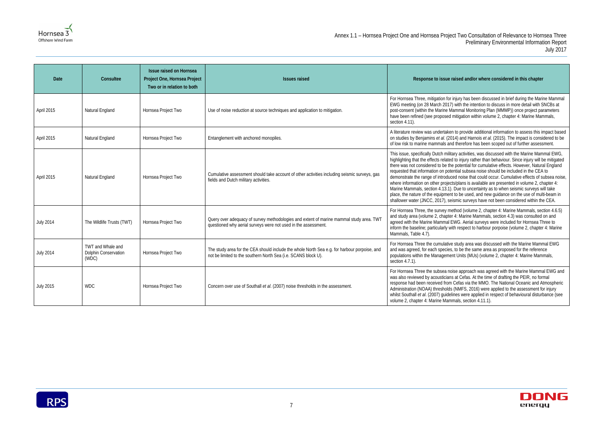

#### **Ised and/or where considered in this chapter**

ijury has been discussed in brief during the Marine Mammal with the intention to discuss in more detail with SNCBs at mmal Monitoring Plan (MMMP)) once project parameters htigation within volume 2, chapter 4: Marine Mammals,

to provide additional information to assess this impact based 1) and Harnois *et al.* (2015). The impact is considered to be therefore has been scoped out of further assessment.

y activities, was discussed with the Marine Mammal EWG, to injury rather than behaviour. Since injury will be mitigated ootential for cumulative effects. However, Natural England tial subsea noise should be included in the CEA to demonstrate that could occur. Cumulative effects of subsea noise, /plans is available are presented in volume 2, chapter 4: .<br>Due to uncertainty as to when seismic surveys will take to be used, and new guidance on the use of multi-beam in mic surveys have not been considered within the CEA.

hod (volume 2, chapter 4: Marine Mammals, section 4.6.5) : Marine Mammals, section 4.3) was consulted on and G. Aerial surveys were included for Hornsea Three to respect to harbour porpoise (volume 2, chapter 4: Marine

study area was discussed with the Marine Mammal EWG to be the same area as proposed for the reference Units (MUs) (volume 2, chapter 4: Marine Mammals,

e approach was agreed with the Marine Mammal EWG and at Cefas. At the time of drafting the PEIR, no formal efas via the MMO. The National Oceanic and Atmospheric NMFS, 2016) were applied to the assessment for injury les were applied in respect of behavioural disturbance (see als, section 4.11.1).



| Date             | Consultee                                          | <b>Issue raised on Hornsea</b><br>Project One, Hornsea Project<br>Two or in relation to both | <b>Issues raised</b>                                                                                                                                           | Response to issue rai                                                                                                                                                                                                                                                                                                                                                    |
|------------------|----------------------------------------------------|----------------------------------------------------------------------------------------------|----------------------------------------------------------------------------------------------------------------------------------------------------------------|--------------------------------------------------------------------------------------------------------------------------------------------------------------------------------------------------------------------------------------------------------------------------------------------------------------------------------------------------------------------------|
| April 2015       | Natural England                                    | Hornsea Project Two                                                                          | Use of noise reduction at source techniques and application to mitigation.                                                                                     | For Hornsea Three, mitigation for inj<br>EWG meeting (on 28 March 2017) v<br>post-consent (within the Marine Mar<br>have been refined (see proposed mi<br>section 4.11).                                                                                                                                                                                                 |
| April 2015       | Natural England                                    | Hornsea Project Two                                                                          | Entanglement with anchored monopiles.                                                                                                                          | A literature review was undertaken t<br>on studies by Benjamins et al. (2014<br>of low risk to marine mammals and t                                                                                                                                                                                                                                                      |
| April 2015       | Natural England                                    | Hornsea Project Two                                                                          | Cumulative assessment should take account of other activities including seismic surveys, gas<br>fields and Dutch military activities.                          | This issue, specifically Dutch military<br>highlighting that the effects related to<br>there was not considered to be the p<br>requested that information on potent<br>demonstrate the range of introduced<br>where information on other projects/<br>Marine Mammals, section 4.13.1). D<br>place, the nature of the equipment to<br>shallower water (JNCC, 2017), seisr |
| <b>July 2014</b> | The Wildlife Trusts (TWT)                          | Hornsea Project Two                                                                          | Query over adequacy of survey methodologies and extent of marine mammal study area. TWT<br>questioned why aerial surveys were not used in the assessment.      | For Hornsea Three, the survey meth<br>and study area (volume 2, chapter 4<br>agreed with the Marine Mammal EW<br>inform the baseline; particularly with<br>Mammals, Table 4.7).                                                                                                                                                                                          |
| <b>July 2014</b> | TWT and Whale and<br>Dolphin Conservation<br>(WDC) | Hornsea Project Two                                                                          | The study area for the CEA should include the whole North Sea e.g. for harbour porpoise, and<br>not be limited to the southern North Sea (i.e. SCANS block U). | For Hornsea Three the cumulative s<br>and was agreed, for each species, to<br>populations within the Management<br>section 4.7.1).                                                                                                                                                                                                                                       |
| <b>July 2015</b> | <b>WDC</b>                                         | Hornsea Project Two                                                                          | Concern over use of Southall et al. (2007) noise thresholds in the assessment.                                                                                 | For Hornsea Three the subsea noise<br>was also reviewed by acousticians a<br>response had been received from C<br>Administration (NOAA) thresholds (M<br>whilst Southall et al. (2007) guideline<br>volume 2, chapter 4: Marine Mamma                                                                                                                                    |

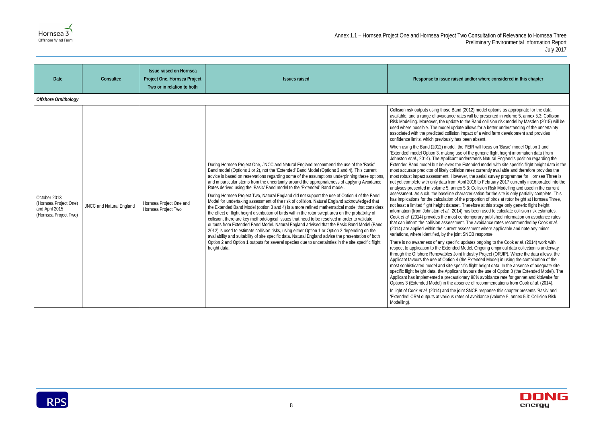

#### **Ised and/or where considered in this chapter**

and (2012) model options as appropriate for the data exates will be presented in volume 5, annex 5.3: Collision te to the Band collision risk model by Masden (2015) will be date allows for a better understanding of the uncertainty on impact of a wind farm development and provides has been absent.

the PEIR will focus on 'Basic' model Option 1 and use of the generic flight height information data (from nt understands Natural England's position regarding the the Extended model with site specific flight height data is the ision rates currently available and therefore provides the wever, the aerial survey programme for Hornsea Three is n April 2016 to February 2017 currently incorporated into the nex 5.3: Collision Risk Modelling and used in the current characterisation for the site is only partially complete. This of the proportion of birds at rotor height at Hornsea Three, set. Therefore at this stage only generic flight height 14) has been used to calculate collision risk estimates. t contemporary published information on avoidance rates ment. The avoidance rates recommended by Cook *et al.* t assessment where applicable and note any minor bint SNCB response.

Ific updates ongoing to the Cook *et al.* (2014) work with ed Model. Ongoing empirical data collection is underway oint Industry Project (ORJIP). Where the data allows, the 4 (the Extended Model) in using the combination of the specific flight height data. In the absence of adequate site cant favours the use of Option 3 (the Extended Model). The ationary 98% avoidance rate for gannet and kittiwake for absence of recommendations from Cook *et al.* (2014).

*i* joint SNCB response this chapter presents 'Basic' and rates of avoidance (volume 5, annex 5.3: Collision Risk



| Date                                                                             | Consultee                       | <b>Issue raised on Hornsea</b><br>Project One, Hornsea Project<br>Two or in relation to both | <b>Issues raised</b>                                                                                                                                                                                                                                                                                                                                                                                                                                                                                                                                                                                                                                                                                                                                                                                                                                                                                                                                                                                                                                                                                                                                                                                                                                                                                                                                                                              | Response to issue rai                                                                                                                                                                                                                                                                                                                                                                                                                                                                                                                                                                                                                                                                                                                                                                                                                                                                                                                                                                                                                                                                                                                                                                                                                                                                                                                       |
|----------------------------------------------------------------------------------|---------------------------------|----------------------------------------------------------------------------------------------|---------------------------------------------------------------------------------------------------------------------------------------------------------------------------------------------------------------------------------------------------------------------------------------------------------------------------------------------------------------------------------------------------------------------------------------------------------------------------------------------------------------------------------------------------------------------------------------------------------------------------------------------------------------------------------------------------------------------------------------------------------------------------------------------------------------------------------------------------------------------------------------------------------------------------------------------------------------------------------------------------------------------------------------------------------------------------------------------------------------------------------------------------------------------------------------------------------------------------------------------------------------------------------------------------------------------------------------------------------------------------------------------------|---------------------------------------------------------------------------------------------------------------------------------------------------------------------------------------------------------------------------------------------------------------------------------------------------------------------------------------------------------------------------------------------------------------------------------------------------------------------------------------------------------------------------------------------------------------------------------------------------------------------------------------------------------------------------------------------------------------------------------------------------------------------------------------------------------------------------------------------------------------------------------------------------------------------------------------------------------------------------------------------------------------------------------------------------------------------------------------------------------------------------------------------------------------------------------------------------------------------------------------------------------------------------------------------------------------------------------------------|
| <b>Offshore Ornithology</b>                                                      |                                 |                                                                                              |                                                                                                                                                                                                                                                                                                                                                                                                                                                                                                                                                                                                                                                                                                                                                                                                                                                                                                                                                                                                                                                                                                                                                                                                                                                                                                                                                                                                   |                                                                                                                                                                                                                                                                                                                                                                                                                                                                                                                                                                                                                                                                                                                                                                                                                                                                                                                                                                                                                                                                                                                                                                                                                                                                                                                                             |
| October 2013<br>(Hornsea Project One)<br>and April 2015<br>(Hornsea Project Two) | <b>JNCC and Natural England</b> | Hornsea Project One and<br>Hornsea Project Two                                               | During Hornsea Project One, JNCC and Natural England recommend the use of the 'Basic'<br>Band model (Options 1 or 2), not the 'Extended' Band Model (Options 3 and 4). This current<br>advice is based on reservations regarding some of the assumptions underpinning these options<br>and in particular stems from the uncertainty around the appropriateness of applying Avoidance<br>Rates derived using the 'Basic' Band model to the 'Extended' Band model.<br>During Hornsea Project Two, Natural England did not support the use of Option 4 of the Band<br>Model for undertaking assessment of the risk of collision. Natural England acknowledged that<br>the Extended Band Model (option 3 and 4) is a more refined mathematical model that considers<br>the effect of flight height distribution of birds within the rotor swept area on the probability of<br>collision, there are key methodological issues that need to be resolved in order to validate<br>outputs from Extended Band Model. Natural England advised that the Basic Band Model (Band<br>2012) is used to estimate collision risks, using either Option 1 or Option 2 depending on the<br>availability and suitability of site specific data. Natural England advise the presentation of both<br>Option 2 and Option 1 outputs for several species due to uncertainties in the site specific flight<br>height data. | Collision risk outputs using those Ba<br>available, and a range of avoidance<br>Risk Modelling. Moreover, the updat<br>used where possible. The model up<br>associated with the predicted collisio<br>confidence limits, which previously h<br>When using the Band (2012) model,<br>'Extended' model Option 3, making (<br>Johnston et al., 2014). The Applican<br>Extended Band model but believes t<br>most accurate predictor of likely colli<br>most robust impact assessment. Ho<br>not yet complete with only data from<br>analyses presented in volume 5, ann<br>assessment. As such, the baseline of<br>has implications for the calculation o<br>not least a limited flight height datas<br>information (from Johnston et al., 20<br>Cook et al. (2014) provides the most<br>that can inform the collision assessn<br>(2014) are applied within the current<br>variations, where identified, by the jo<br>There is no awareness of any specif<br>respect to application to the Extende<br>through the Offshore Renewables Jo<br>Applicant favours the use of Option<br>most sophisticated model and site s<br>specific flight height data, the Applic<br>Applicant has implemented a precau<br>Options 3 (Extended Model) in the a<br>In light of Cook et al. (2014) and the<br>'Extended' CRM outputs at various r<br>Modelling). |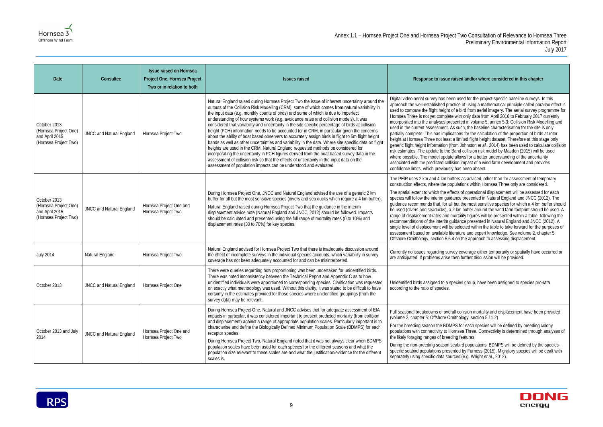#### **Ised and/or where considered in this chapter**

used for the project-specific baseline surveys. In this ice of using a mathematical principle called parallax effect is a bird from aerial imagery. The aerial survey programme for with only data from April 2016 to February 2017 currently ented in volume 5, annex 5.3: Collision Risk Modelling and such, the baseline characterisation for the site is only ions for the calculation of the proportion of birds at rotor limited flight height dataset. Therefore at this stage only m Johnston et al., 2014) has been used to calculate collision and collision risk model by Masden (2015) will be used allows for a better understanding of the uncertainty on impact of a wind farm development and provides has been absent.

ers as advised, other than for assessment of temporary detions within Hornsea Three only are considered.

ts of operational displacement will be assessed for each nce presented in Natural England and JNCC (2012). The ut the most sensitive species for which a 4 km buffer should km buffer around the wind farm footprint should be used. A rtality figures will be presented within a table, following the dance presented in Natural England and JNCC (2012). A selected within the table to take forward for the purposes of ature and expert knowledge. See volume 2, chapter 5: on the approach to assessing displacement.

y coverage either temporarily or spatially have occurred or en further discussion will be provided.

cies group, have been assigned to species pro-rata

collision mortality and displacement have been provided  $\text{thology}, \text{section } 5.11.2$ )

S for each species will be defined by breeding colony nsea Three. Connectivity is determined through analyses of g features.

abird populations, BDMPS will be defined by the speciesed by Furness (2015). Migratory species will be dealt with es (e.g. Wright *et al.*, 2012).



| Date                                                                             | Consultee                | <b>Issue raised on Hornsea</b><br>Project One, Hornsea Project<br>Two or in relation to both | <b>Issues raised</b>                                                                                                                                                                                                                                                                                                                                                                                                                                                                                                                                                                                                                                                                                                                                                                                                                                                                                                                                                                                                                                                                                                                                   | Response to issue rai:                                                                                                                                                                                                                                                                                                                                                                                                                                                                                                                      |
|----------------------------------------------------------------------------------|--------------------------|----------------------------------------------------------------------------------------------|--------------------------------------------------------------------------------------------------------------------------------------------------------------------------------------------------------------------------------------------------------------------------------------------------------------------------------------------------------------------------------------------------------------------------------------------------------------------------------------------------------------------------------------------------------------------------------------------------------------------------------------------------------------------------------------------------------------------------------------------------------------------------------------------------------------------------------------------------------------------------------------------------------------------------------------------------------------------------------------------------------------------------------------------------------------------------------------------------------------------------------------------------------|---------------------------------------------------------------------------------------------------------------------------------------------------------------------------------------------------------------------------------------------------------------------------------------------------------------------------------------------------------------------------------------------------------------------------------------------------------------------------------------------------------------------------------------------|
| October 2013<br>(Hornsea Project One)<br>and April 2015<br>(Hornsea Project Two) | JNCC and Natural England | Hornsea Project Two                                                                          | Natural England raised during Hornsea Project Two the issue of inherent uncertainty around the<br>outputs of the Collision Risk Modelling (CRM), some of which comes from natural variability in<br>the input data (e.g. monthly counts of birds) and some of which is due to imperfect<br>understanding of how systems work (e.g. avoidance rates and collision models). It was<br>considered that variability and uncertainty in the site specific percentage of birds at collision<br>height (PCH) information needs to be accounted for in CRM, in particular given the concerns<br>about the ability of boat based observers to accurately assign birds in flight to 5m flight height<br>bands as well as other uncertainties and variability in the data. Where site specific data on flight<br>heights are used in the CRM, Natural England requested methods be considered for<br>incorporating the uncertainty in PCH figures derived from the boat based survey data in the<br>assessment of collision risk so that the effects of uncertainty in the input data on the<br>assessment of population impacts can be understood and evaluated. | Digital video aerial survey has been<br>approach the well-established practi-<br>used to compute the flight height of a<br>Hornsea Three is not yet complete w<br>incorporated into the analyses prese<br>used in the current assessment. As :<br>partially complete. This has implicati<br>height at Hornsea Three not least a<br>generic flight height information (fror<br>risk estimates. The update to the Ba<br>where possible. The model update a<br>associated with the predicted collisic<br>confidence limits, which previously h |
| October 2013<br>(Hornsea Project One)<br>and April 2015<br>(Hornsea Project Two) | JNCC and Natural England | Hornsea Project One and<br>Hornsea Project Two                                               | During Hornsea Project One, JNCC and Natural England advised the use of a generic 2 km<br>buffer for all but the most sensitive species (divers and sea ducks which require a 4 km buffer).<br>Natural England raised during Hornsea Project Two that the guidance in the interim<br>displacement advice note (Natural England and JNCC, 2012) should be followed. Impacts<br>should be calculated and presented using the full range of mortality rates (0 to 10%) and<br>displacement rates (30 to 70%) for key species.                                                                                                                                                                                                                                                                                                                                                                                                                                                                                                                                                                                                                             | The PEIR uses 2 km and 4 km buffe<br>construction effects, where the popu<br>The spatial extent to which the effect<br>species will follow the interim guidan<br>guidance recommends that, for all be<br>be used (divers and seaducks), a 2 l<br>range of displacement rates and mo<br>recommendations of the interim guid<br>single level of displacement will be s<br>assessment based on available litera<br>Offshore Ornithology, section 5.6.4 o                                                                                       |
| <b>July 2014</b>                                                                 | Natural England          | Hornsea Project Two                                                                          | Natural England advised for Hornsea Project Two that there is inadequate discussion around<br>the effect of incomplete surveys in the individual species accounts, which variability in survey<br>coverage has not been adequately accounted for and can be misinterpreted.                                                                                                                                                                                                                                                                                                                                                                                                                                                                                                                                                                                                                                                                                                                                                                                                                                                                            | Currently no issues regarding survey<br>are anticipated. If problems arise the                                                                                                                                                                                                                                                                                                                                                                                                                                                              |
| October 2013                                                                     | JNCC and Natural England | Hornsea Project One                                                                          | There were queries regarding how proportioning was been undertaken for unidentified birds.<br>There was noted inconsistency between the Technical Report and Appendix C as to how<br>unidentified individuals were apportioned to corresponding species. Clarification was requested<br>on exactly what methodology was used. Without this clarity, it was stated to be difficult to have<br>certainty in the estimates provided for those species where unidentified groupings (from the<br>survey data) may be relevant.                                                                                                                                                                                                                                                                                                                                                                                                                                                                                                                                                                                                                             | Unidentified birds assigned to a spec<br>according to the ratio of species.                                                                                                                                                                                                                                                                                                                                                                                                                                                                 |
| October 2013 and July<br>2014                                                    | JNCC and Natural England | Hornsea Project One and<br>Hornsea Project Two                                               | During Hornsea Project One, Natural and JNCC advises that for adequate assessment of EIA<br>impacts in particular, it was considered important to present predicted mortality (from collision<br>and displacement) against a range of appropriate population scales. Particularly important is to<br>characterise and define the Biologically Defined Minimum Population Scale (BDMPS) for each<br>receptor species.<br>During Hornsea Project Two, Natural England noted that it was not always clear when BDMPS<br>population scales have been used for each species for the different seasons and what the<br>population size relevant to these scales are and what the justification/evidence for the different<br>scales is.                                                                                                                                                                                                                                                                                                                                                                                                                      | Full seasonal breakdowns of overall<br>(volume 2, chapter 5: Offshore Ornit<br>For the breeding season the BDMPS<br>populations with connectivity to Horr<br>the likely foraging ranges of breeding<br>During the non-breeding season sea<br>specific seabird populations present<br>separately using specific data source                                                                                                                                                                                                                  |

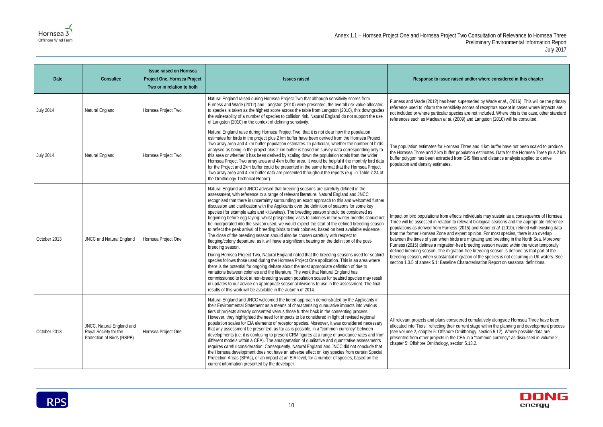Annex 1.1 – Hornsea Project One and Hornsea Project Two Consultation of Relevance to Hornsea Three Preliminary Environmental Information Report July 2017

#### **Ised and/or where considered in this chapter**

Superseded by Wade et al., (2016). This will be the primary vity scores of receptors except in cases where impacts are cies are not included. Where this is the case, other standard 2009) and Langston (2010) will be consulted.

ea Three and 4 km buffer have not been scaled to produce population estimates. Data for the Hornsea Three plus 2 km iom GIS files and distance analysis applied to derive

cts individuals may sustain as a consequence of Hornsea relevant biological seasons and the appropriate reference s (2015) and Kober *et al.* (2010), refined with existing data expert opinion. For most species, there is an overlap Is are migrating and breeding in the North Sea. Moreover free breeding season nested within the wider temporally tion-free breeding season is defined as that part of the migration of the species is not occurring in UK waters. See Characterisation Report on seasonal definitions.

idered cumulatively alongside Hornsea Three have been current stage within the planning and development process Ornithology, section 5.12). Where possible data are CEA in a "common currency" as discussed in volume 2,  $:$ tion 5.13.2.



| Date             | Consultee                                                                        | <b>Issue raised on Hornsea</b><br>Project One, Hornsea Project<br>Two or in relation to both | <b>Issues raised</b>                                                                                                                                                                                                                                                                                                                                                                                                                                                                                                                                                                                                                                                                                                                                                                                                                                                                                                                                                                                                                                                                                                                                                                                                                                                                                                                                                                                                                                                                                                                                                                                                                                     | Response to issue rais                                                                                                                                                                                                                                                                                                                                           |
|------------------|----------------------------------------------------------------------------------|----------------------------------------------------------------------------------------------|----------------------------------------------------------------------------------------------------------------------------------------------------------------------------------------------------------------------------------------------------------------------------------------------------------------------------------------------------------------------------------------------------------------------------------------------------------------------------------------------------------------------------------------------------------------------------------------------------------------------------------------------------------------------------------------------------------------------------------------------------------------------------------------------------------------------------------------------------------------------------------------------------------------------------------------------------------------------------------------------------------------------------------------------------------------------------------------------------------------------------------------------------------------------------------------------------------------------------------------------------------------------------------------------------------------------------------------------------------------------------------------------------------------------------------------------------------------------------------------------------------------------------------------------------------------------------------------------------------------------------------------------------------|------------------------------------------------------------------------------------------------------------------------------------------------------------------------------------------------------------------------------------------------------------------------------------------------------------------------------------------------------------------|
| <b>July 2014</b> | Natural England                                                                  | Hornsea Project Two                                                                          | Natural England raised during Hornsea Project Two that although sensitivity scores from<br>Furness and Wade (2012) and Langston (2010) were presented, the overall risk value allocated<br>to species is taken as the highest score across the table from Langston (2010), this downgrades<br>the vulnerability of a number of species to collision risk. Natural England do not support the use<br>of Langston (2010) in the context of defining sensitivity.                                                                                                                                                                                                                                                                                                                                                                                                                                                                                                                                                                                                                                                                                                                                                                                                                                                                                                                                                                                                                                                                                                                                                                                           | Furness and Wade (2012) has been<br>reference used to inform the sensitiv<br>not included or where particular spec<br>references such as Maclean et al. (2                                                                                                                                                                                                       |
| <b>July 2014</b> | Natural England                                                                  | Hornsea Project Two                                                                          | Natural England raise during Hornsea Project Two, that it is not clear how the population<br>estimates for birds in the project plus 2 km buffer have been derived from the Hornsea Project<br>Two array area and 4 km buffer population estimates. In particular, whether the number of birds<br>analysed as being in the project plus 2 km buffer is based on survey data corresponding only to<br>this area or whether it has been derived by scaling down the population totals from the wider<br>Hornsea Project Two array area and 4km buffer area. It would be helpful if the monthly bird data<br>for the Project and 2km buffer could be presented in the same format that the Hornsea Project<br>Two array area and 4 km buffer data are presented throughout the reports (e.g. in Table 7.24 of<br>the Ornithology Technical Report).                                                                                                                                                                                                                                                                                                                                                                                                                                                                                                                                                                                                                                                                                                                                                                                                         | The population estimates for Hornse<br>the Hornsea Three and 2 km buffer p<br>buffer polygon has been extracted fre<br>population and density estimates.                                                                                                                                                                                                         |
| October 2013     | JNCC and Natural England                                                         | Hornsea Project One                                                                          | Natural England and JNCC advised that breeding seasons are carefully defined in the<br>assessment, with reference to a range of relevant literature. Natural England and JNCC<br>recognised that there is uncertainty surrounding an exact approach to this and welcomed further<br>discussion and clarification with the Applicants over the definition of seasons for some key<br>species (for example auks and kittiwakes). The breeding season should be considered as<br>beginning before egg-laying: whilst prospecting visits to colonies in the winter months should not<br>be incorporated into the season used, we would expect the start of the defined breeding season<br>to reflect the peak arrival of breeding birds to their colonies, based on best available evidence.<br>The close of the breeding season should also be chosen carefully with respect to<br>fledging/colony departure, as it will have a significant bearing on the definition of the post-<br>breeding season.<br>During Hornsea Project Two, Natural England noted that the breeding seasons used for seabird<br>species follows those used during the Hornsea Project One application. This is an area where<br>there is the potential for ongoing debate about the most appropriate definition of due to<br>variations between colonies and the literature. The work that Natural England has<br>commissioned to look at non-breeding season population scales for seabird species may result<br>in updates to our advice on appropriate seasonal divisions to use in the assessment. The final<br>results of this work will be available in the autumn of 2014. | Impact on bird populations from effer<br>Three will be assessed in relation to<br>populations as derived from Furness<br>from the former Hornsea Zone and e<br>between the times of year when bird<br>Furness (2015) defines a migration-f<br>defined breeding season. The migrat<br>breeding season, when substantial n<br>section 1.3.5 of annex 5.1: Baseline |
| October 2013     | JNCC, Natural England and<br>Royal Society for the<br>Protection of Birds (RSPB) | Hornsea Project One                                                                          | Natural England and JNCC welcomed the tiered approach demonstrated by the Applicants in<br>their Environmental Statement as a means of characterising cumulative impacts into various<br>tiers of projects already consented versus those further back in the consenting process.<br>However, they highlighted the need for impacts to be considered in light of revised regional<br>population scales for EIA elements of receptor species. Moreover, it was considered necessary<br>that any assessment be presented, as far as is possible, in a "common currency" between<br>developments (i.e. it is confusing to present CRM figures at a range of avoidance rates and from<br>different models within a CEA). The amalgamation of qualitative and quantitative assessments<br>requires careful consideration. Consequently, Natural England and JNCC did not conclude that<br>the Hornsea development does not have an adverse effect on key species from certain Special<br>Protection Areas (SPAs), or an impact at an EIA level, for a number of species, based on the<br>current information presented by the developer.                                                                                                                                                                                                                                                                                                                                                                                                                                                                                                                      | All relevant projects and plans consid<br>allocated into 'Tiers', reflecting their o<br>(see volume 2, chapter 5: Offshore C<br>presented from other projects in the<br>chapter 5: Offshore Ornithology, sec                                                                                                                                                     |

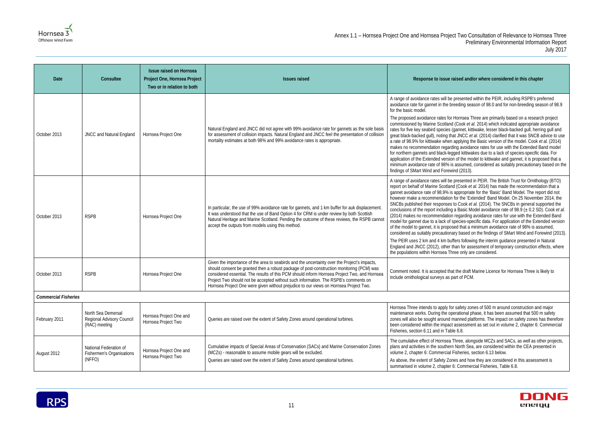

#### **Ised and/or where considered in this chapter**

resented within the PEIR, including RSPB's preferred eding season of 98.0 and for non-breeding season of 98.9

Iornsea Three are primarily based on a research project Cook *et al.* 2014) which indicated appropriate avoidance annet, kittiwake, lesser black-backed gull, herring gull and JNCC et al. (2014) clarified that it was SNCB advice to use pplying the Basic version of the model. Cook *et al.* (2014) makes no recommendation recommendation and included and model ed kittiwakes due to a lack of species-specific data. For of the model to kittiwake and gannet, it is proposed that a assumed, considered as suitably precautionary based on the d (2013).

resented in PEIR. The British Trust for Ornithology (BTO) (Cook *et al.* 2014) has made the recommendation that a ppropriate for the 'Basic' Band Model. The report did not or the 'Extended' Band Model. On 25 November 2014, the Gook *et al.* (2014). The SNCBs in general supported the Basic Model avoidance rate of 98.9 ( $\pm$  0.2 SD). Cook *et al.* egarding avoidance rates for use with the Extended Band ecies-specific data. For application of the Extended version d that a minimum avoidance rate of 98% is assumed, based on the findings of SMart Wind and Forewind (2013).

ers following the interim guidance presented in Natural an for assessment of temporary construction effects, where e only are considered.

the draft Marine Licence for Hornsea Three is likely to rt of PCM.

safety zones of 500 m around construction and major rational phase, it has been assumed that 500 m safety anned platforms. The impact on safety zones has therefore beta is set out in volume 2, chapter 6: Commercial 6.8.

Tree, alongside MCZs and SACs, as well as other projects, Vorth Sea, are considered within the CEA presented in sheries, section 6.13 below.

s and how they are considered in this assessment is Commercial Fisheries, Table 6.8.



| Date                        | Consultee                                                        | <b>Issue raised on Hornsea</b><br>Project One, Hornsea Project<br>Two or in relation to both | <b>Issues raised</b>                                                                                                                                                                                                                                                                                                                                                                                                                                                      | Response to issue raised                                                                                                                                                                                                                                                                                                                                                                                                                                                                                                                                                |
|-----------------------------|------------------------------------------------------------------|----------------------------------------------------------------------------------------------|---------------------------------------------------------------------------------------------------------------------------------------------------------------------------------------------------------------------------------------------------------------------------------------------------------------------------------------------------------------------------------------------------------------------------------------------------------------------------|-------------------------------------------------------------------------------------------------------------------------------------------------------------------------------------------------------------------------------------------------------------------------------------------------------------------------------------------------------------------------------------------------------------------------------------------------------------------------------------------------------------------------------------------------------------------------|
| October 2013                | JNCC and Natural England                                         | Hornsea Project One                                                                          | Natural England and JNCC did not agree with 99% avoidance rate for gannets as the sole basis<br>for assessment of collision impacts. Natural England and JNCC feel the presentation of collision<br>mortality estimates at both 98% and 99% avoidance rates is appropriate.                                                                                                                                                                                               | A range of avoidance rates will be prese<br>avoidance rate for gannet in the breedin<br>for the basic model.<br>The proposed avoidance rates for Horns<br>commissioned by Marine Scotland (Coo<br>rates for five key seabird species (ganne<br>great black-backed gull), noting that JNO<br>a rate of 98.9% for kittiwake when apply<br>makes no recommendation regarding av<br>for northern gannets and black-legged k<br>application of the Extended version of th<br>minimum avoidance rate of 98% is assu<br>findings of SMart Wind and Forewind (2)                |
| October 2013                | <b>RSPB</b>                                                      | Hornsea Project One                                                                          | In particular, the use of 99% avoidance rate for gannets, and 1 km buffer for auk displacement.<br>It was understood that the use of Band Option 4 for CRM is under review by both Scottish<br>Natural Heritage and Marine Scotland. Pending the outcome of these reviews, the RSPB cannot<br>accept the outputs from models using this method.                                                                                                                           | A range of avoidance rates will be prese<br>report on behalf of Marine Scotland (Co<br>gannet avoidance rate of 98.9% is appro<br>however make a recommendation for th<br>SNCBs published their responses to Co<br>conclusions of the report including a Bas<br>(2014) makes no recommendation regar<br>model for gannet due to a lack of specie<br>of the model to gannet, it is proposed th<br>considered as suitably precautionary ba<br>The PEIR uses 2 km and 4 km buffers fo<br>England and JNCC (2012), other than fo<br>the populations within Hornsea Three or |
| October 2013                | <b>RSPB</b>                                                      | Hornsea Project One                                                                          | Given the importance of the area to seabirds and the uncertainty over the Project's impacts,<br>should consent be granted then a robust package of post-construction monitoring (PCM) was<br>considered essential. The results of this PCM should inform Hornsea Project Two, and Hornsea<br>Project Two should not be accepted without such information. The RSPB's comments on<br>Hornsea Project One were given without prejudice to our views on Hornsea Project Two. | Comment noted. It is accepted that the o<br>include ornithological surveys as part of                                                                                                                                                                                                                                                                                                                                                                                                                                                                                   |
| <b>Commercial Fisheries</b> |                                                                  |                                                                                              |                                                                                                                                                                                                                                                                                                                                                                                                                                                                           |                                                                                                                                                                                                                                                                                                                                                                                                                                                                                                                                                                         |
| February 2011               | North Sea Demersal<br>Regional Advisory Council<br>(RAC) meeting | Hornsea Project One and<br>Hornsea Project Two                                               | Queries are raised over the extent of Safety Zones around operational turbines.                                                                                                                                                                                                                                                                                                                                                                                           | Hornsea Three intends to apply for safe<br>maintenance works. During the operatio<br>zones will also be sought around manne<br>been considered within the impact asset<br>Fisheries, section 6.11 and in Table 6.8.                                                                                                                                                                                                                                                                                                                                                     |
| August 2012                 | National Federation of<br>Fishermen's Organisations<br>(NFFO)    | Hornsea Project One and<br>Hornsea Project Two                                               | Cumulative impacts of Special Areas of Conservation (SACs) and Marine Conservation Zones<br>(MCZs) - reasonable to assume mobile gears will be excluded.<br>Queries are raised over the extent of Safety Zones around operational turbines.                                                                                                                                                                                                                               | The cumulative effect of Hornsea Three<br>plans and activities in the southern Nortl<br>volume 2, chapter 6: Commercial Fisher<br>As above, the extent of Safety Zones an<br>summarised in volume 2, chapter 6: Cor                                                                                                                                                                                                                                                                                                                                                     |

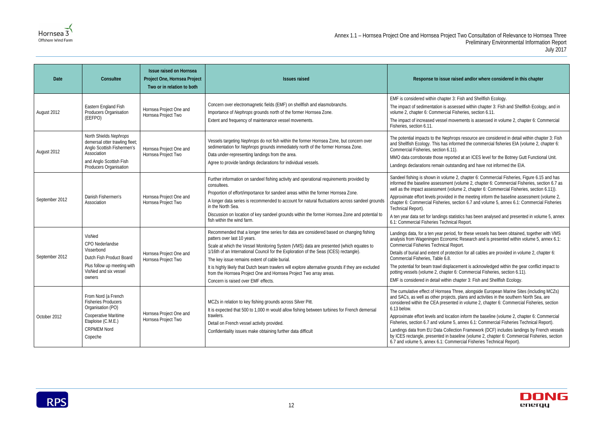### **Ised and/or where considered in this chapter**

: Fish and Shellfish Ecology.

ssed within chapter 3: Fish and Shellfish Ecology, and in sheries, section 6.11.

rements is assessed in volume 2, chapter 6: Commercial

ps resource are considered in detail within chapter 3: Fish rmed the commercial fisheries EIA (volume 2, chapter 6:

ed at an ICES level for the Botney Gutt Functional Unit. anding and have not informed the EIA.

2, chapter 6: Commercial Fisheries, Figure 6.15 and has volume 2, chapter 6: Commercial Fisheries, section 6.7 as Ime 2, chapter 6: Commercial Fisheries, section 6.11)).

If the meeting inform the baseline assessment (volume 2, ection 6.7 and volume 5, annex 6.1: Commercial Fisheries

istics has been analysed and presented in volume 5, annex I Report.

, for these vessels has been obtained, together with VMS ic Research and is presented within volume 5, annex 6.1:

tion for all cables are provided in volume 2, chapter 6:

ement is acknowledged within the gear conflict impact to Commercial Fisheries, section 6.11).

hapter 3: Fish and Shellfish Ecology.

Tree, alongside European Marine Sites (including MCZs) plans and activities in the southern North Sea, are d in volume 2, chapter 6: Commercial Fisheries, section

on inform the baseline (volume 2, chapter 6: Commercial , annex 6.1: Commercial Fisheries Technical Report).

tion Framework (DCF) includes landings by French vessels seline (volume 2, chapter 6: Commercial Fisheries, section nercial Fisheries Technical Report).



| Date           | Consultee                                                                                                                                                  | <b>Issue raised on Hornsea</b><br>Project One, Hornsea Project<br>Two or in relation to both | <b>Issues raised</b>                                                                                                                                                                                                                                                                                                                                                                                                                                                                                                                                                         | Response to issue raised                                                                                                                                                                                                                                                                                                                                           |
|----------------|------------------------------------------------------------------------------------------------------------------------------------------------------------|----------------------------------------------------------------------------------------------|------------------------------------------------------------------------------------------------------------------------------------------------------------------------------------------------------------------------------------------------------------------------------------------------------------------------------------------------------------------------------------------------------------------------------------------------------------------------------------------------------------------------------------------------------------------------------|--------------------------------------------------------------------------------------------------------------------------------------------------------------------------------------------------------------------------------------------------------------------------------------------------------------------------------------------------------------------|
| August 2012    | Eastern England Fish<br>Producers Organisation<br>(EEFPO)                                                                                                  | Hornsea Project One and<br>Hornsea Project Two                                               | Concern over electromagnetic fields (EMF) on shellfish and elasmobranchs.<br>Importance of Nephrops grounds north of the former Hornsea Zone.<br>Extent and frequency of maintenance vessel movements.                                                                                                                                                                                                                                                                                                                                                                       | EMF is considered within chapter 3: Fish<br>The impact of sedimentation is assessed<br>volume 2, chapter 6: Commercial Fisher<br>The impact of increased vessel moveme<br>Fisheries, section 6.11.                                                                                                                                                                 |
| August 2012    | North Shields Nephrops<br>demersal otter trawling fleet;<br>Anglo Scottish Fishermen's<br>Association<br>and Anglo Scottish Fish<br>Producers Organisation | Hornsea Project One and<br>Hornsea Project Two                                               | Vessels targeting Nephrops do not fish within the former Hornsea Zone, but concern over<br>sedimentation for Nephrops grounds immediately north of the former Hornsea Zone.<br>Data under-representing landings from the area.<br>Agree to provide landings declarations for individual vessels.                                                                                                                                                                                                                                                                             | The potential impacts to the Nephrops re<br>and Shellfish Ecology. This has informed<br>Commercial Fisheries, section 6.11).<br>MMO data corroborate those reported a<br>Landings declarations remain outstandir                                                                                                                                                   |
| September 2012 | Danish Fishermen's<br>Association                                                                                                                          | Hornsea Project One and<br>Hornsea Project Two                                               | Further information on sandeel fishing activity and operational requirements provided by<br>consultees.<br>Proportion of effort/importance for sandeel areas within the former Hornsea Zone.<br>A longer data series is recommended to account for natural fluctuations across sandeel grounds<br>in the North Sea.<br>Discussion on location of key sandeel grounds within the former Hornsea Zone and potential to<br>fish within the wind farm.                                                                                                                           | Sandeel fishing is shown in volume 2, ch<br>informed the baseline assessment (volu<br>well as the impact assessment (volume<br>Approximate effort levels provided in the<br>chapter 6: Commercial Fisheries, section<br>Technical Report).<br>A ten year data set for landings statistics<br>6.1: Commercial Fisheries Technical Re                                |
| September 2012 | VisNed<br>CPO Nederlandse<br>Visserbond<br>Dutch Fish Product Board<br>Plus follow up meeting with<br>VisNed and six vessel<br>owners                      | Hornsea Project One and<br>Hornsea Project Two                                               | Recommended that a longer time series for data are considered based on changing fishing<br>patters over last 10 years.<br>Scale at which the Vessel Monitoring System (VMS) data are presented (which equates to<br>1/16th of an International Council for the Exploration of the Seas (ICES) rectangle).<br>The key issue remains extent of cable burial.<br>It is highly likely that Dutch beam trawlers will explore alternative grounds if they are excluded<br>from the Hornsea Project One and Hornsea Project Two array areas.<br>Concern is raised over EMF effects. | Landings data, for a ten year period, for<br>analysis from Wageningen Economic Re<br>Commercial Fisheries Technical Report.<br>Details of burial and extent of protection<br>Commercial Fisheries, Table 6.8.<br>The potential for beam trawl displaceme<br>potting vessels (volume 2, chapter 6: Co<br>EMF is considered in detail within chapt                   |
| October 2012   | From Nord (a French<br><b>Fisheries Producers</b><br>Organisation (PO)<br>Cooperative Maritime<br>Etaploise (C.M.E.)<br><b>CRPMEM Nord</b><br>Copeche      | Hornsea Project One and<br>Hornsea Project Two                                               | MCZs in relation to key fishing grounds across Silver Pitt.<br>It is expected that 500 to 1,000 m would allow fishing between turbines for French demersal<br>trawlers.<br>Detail on French vessel activity provided.<br>Confidentiality issues make obtaining further data difficult                                                                                                                                                                                                                                                                                        | The cumulative effect of Hornsea Three<br>and SACs, as well as other projects, pla<br>considered within the CEA presented in<br>6.13 below.<br>Approximate effort levels and location in<br>Fisheries, section 6.7 and volume 5, anr<br>Landings data from EU Data Collection<br>by ICES rectangle, presented in baseline<br>6.7 and volume 5, annex 6.1: Commerci |

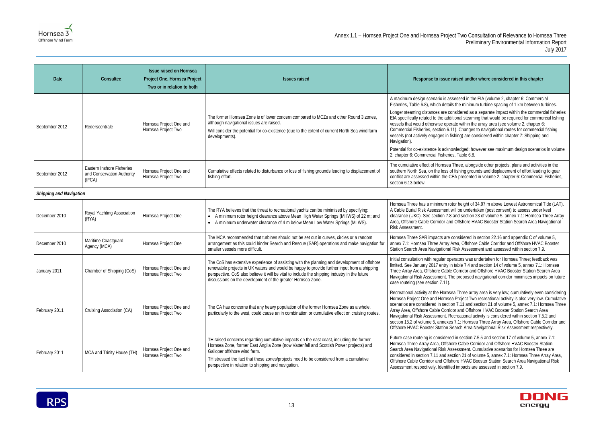#### **Ised and/or where considered in this chapter**

ssed in the EIA (volume 2, chapter 6: Commercial the minimum turbine spacing of 1 km between turbines.

sidered as a separate impact within the commercial fisheries Inal steaming that would be required for commercial fishing e within the array area (see volume 2, chapter 6: Changes to navigational routes for commercial fishing ing) are considered within chapter 7: Shipping and

ledged; however see maximum design scenarios in volume Table 6.8.

Tree, alongside other projects, plans and activities in the ishing grounds and displacement of effort leading to gear presented in volume 2, chapter 6: Commercial Fisheries,

height of 34.97 m above Lowest Astronomical Tide (LAT). I be undertaken (post consent) to assess under keel nd section 23 of volume 5, annex 7.1: Hornsea Three Array **Dffshore HVAC Booster Station Search Area Navigational** 

nsidered in section 22.16 and appendix  $C$  of volume  $5<sub>i</sub>$ ea, Offshore Cable Corridor and Offshore HVAC Booster Isk Assessment and assessed within section 7.9.

ators was undertaken for Hornsea Three; feedback was able 7.4 and section 14 of volume 5, annex 7.1: Hornsea **Three Array Corridor and Offshore HVAC Booster Station Search Area** proposed navigational corridor minimises impacts on future

Three array area is very low; cumulatively even considering Project Two recreational activity is also very low. Cumulative  $\overline{7.11}$  and section 21 of volume 5, annex  $\overline{7.1}$ : Hornsea Three and Offshore HVAC Booster Station Search Area reational activity is considered within section 7.5.2 and 1.1: Hornsea Three Array Area, Offshore Cable Corridor and arch Area Navigational Risk Assessment respectively.

 $n$  section 7.5.5 and section 17 of volume 5, annex 7.1: **Cable Corridor and Offshore HVAC Booster Station** essment. Cumulative scenarios for Hornsea Three are ion 21 of volume 5, annex 7.1: Hornsea Three Array Area, re HVAC Booster Station Search Area Navigational Risk impacts are assessed in section 7.9.



| Date                           | Consultee                                                         | <b>Issue raised on Hornsea</b><br>Project One, Hornsea Project<br>Two or in relation to both | <b>Issues raised</b>                                                                                                                                                                                                                                                                                                                                               | Response to issue rai:                                                                                                                                                                                                                                                                                                                                                                |
|--------------------------------|-------------------------------------------------------------------|----------------------------------------------------------------------------------------------|--------------------------------------------------------------------------------------------------------------------------------------------------------------------------------------------------------------------------------------------------------------------------------------------------------------------------------------------------------------------|---------------------------------------------------------------------------------------------------------------------------------------------------------------------------------------------------------------------------------------------------------------------------------------------------------------------------------------------------------------------------------------|
| September 2012                 | Rederscentrale                                                    | Hornsea Project One and<br>Hornsea Project Two                                               | The former Hornsea Zone is of lower concern compared to MCZs and other Round 3 zones,<br>although navigational issues are raised.<br>Will consider the potential for co-existence (due to the extent of current North Sea wind farm<br>developments).                                                                                                              | A maximum design scenario is asset<br>Fisheries, Table 6.8), which details t<br>Longer steaming distances are cons<br>EIA specifically related to the additio<br>vessels that would otherwise operate<br>Commercial Fisheries, section 6.11)<br>vessels (not actively engages in fish<br>Navigation).<br>Potential for co-existence is acknowl<br>2, chapter 6: Commercial Fisheries, |
| September 2012                 | Eastern Inshore Fisheries<br>and Conservation Authority<br>(IFCA) | Hornsea Project One and<br>Hornsea Project Two                                               | Cumulative effects related to disturbance or loss of fishing grounds leading to displacement of<br>fishing effort.                                                                                                                                                                                                                                                 | The cumulative effect of Hornsea Th<br>southern North Sea, on the loss of fi<br>conflict are assessed within the CEA<br>section 6.13 below.                                                                                                                                                                                                                                           |
| <b>Shipping and Navigation</b> |                                                                   |                                                                                              |                                                                                                                                                                                                                                                                                                                                                                    |                                                                                                                                                                                                                                                                                                                                                                                       |
| December 2010                  | Royal Yachting Association<br>(RYA)                               | Hornsea Project One                                                                          | The RYA believes that the threat to recreational yachts can be minimised by specifying:<br>• A minimum rotor height clearance above Mean High Water Springs (MHWS) of 22 m; and<br>• A minimum underwater clearance of 4 m below Mean Low Water Springs (MLWS).                                                                                                    | Hornsea Three has a minimum rotor<br>A Cable Burial Risk Assessment will<br>clearance (UKC). See section 7.8 ar<br>Area, Offshore Cable Corridor and C<br>Risk Assessment.                                                                                                                                                                                                            |
| December 2010                  | Maritime Coastguard<br>Agency (MCA)                               | Hornsea Project One                                                                          | The MCA recommended that turbines should not be set out in curves, circles or a random<br>arrangement as this could hinder Search and Rescue (SAR) operations and make navigation for<br>smaller vessels more difficult.                                                                                                                                           | Hornsea Three SAR impacts are cor<br>annex 7.1: Hornsea Three Array Are<br>Station Search Area Navigational Ri                                                                                                                                                                                                                                                                        |
| January 2011                   | Chamber of Shipping (CoS)                                         | Hornsea Project One and<br>Hornsea Project Two                                               | The CoS has extensive experience of assisting with the planning and development of offshore<br>renewable projects in UK waters and would be happy to provide further input from a shipping<br>perspective. CoS also believe it will be vital to include the shipping industry in the future<br>discussions on the development of the greater Hornsea Zone.         | Initial consultation with regular opera<br>limited. See January 2017 entry in ta<br>Three Array Area, Offshore Cable Co<br>Navigational Risk Assessment. The<br>case routeing (see section 7.11).                                                                                                                                                                                     |
| February 2011                  | Cruising Association (CA)                                         | Hornsea Project One and<br>Hornsea Project Two                                               | The CA has concerns that any heavy population of the former Hornsea Zone as a whole,<br>particularly to the west, could cause an in combination or cumulative effect on cruising routes.                                                                                                                                                                           | Recreational activity at the Hornsea<br>Hornsea Project One and Hornsea F<br>scenarios are considered in section<br>Array Area, Offshore Cable Corridor<br>Navigational Risk Assessment. Recr<br>section 15.2 of volume 5, annexes 7<br>Offshore HVAC Booster Station Sea                                                                                                             |
| February 2011                  | MCA and Trinity House (TH)                                        | Hornsea Project One and<br>Hornsea Project Two                                               | TH raised concerns regarding cumulative impacts on the east coast, including the former<br>Hornsea Zone, former East Anglia Zone (now Vattenfall and Scottish Power projects) and<br>Galloper offshore wind farm.<br>TH stressed the fact that these zones/projects need to be considered from a cumulative<br>perspective in relation to shipping and navigation. | Future case routeing is considered in<br>Hornsea Three Array Area, Offshore<br>Search Area Navigational Risk Asse<br>considered in section 7.11 and section<br>Offshore Cable Corridor and Offshor<br>Assessment respectively. Identified i                                                                                                                                           |

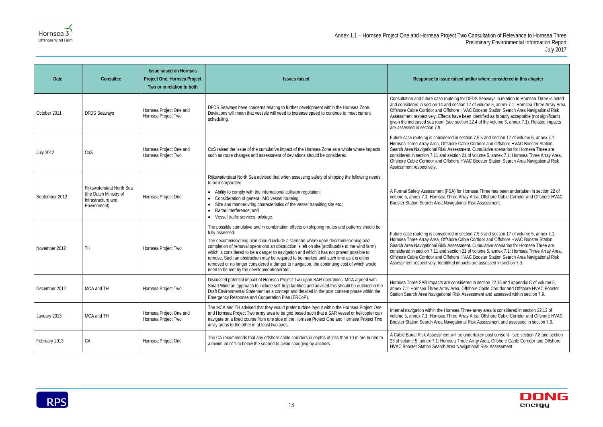#### **Ised and/or where considered in this chapter**

g for DFDS Seaways in relation to Hornsea Three is noted ection 17 of volume 5, annex 7.1: Hornsea Three Array Area, ore HVAC Booster Station Search Area Navigational Risk ive been identified as broadly acceptable (not significant) section 22.4 of the volume 5, annex 7.1). Related impacts

n section 7.5.5 and section 17 of volume 5, annex 7.1: e Cable Corridor and Offshore HVAC Booster Station essment. Cumulative scenarios for Hornsea Three are ion 21 of volume 5, annex 7.1: Hornsea Three Array Area, ore HVAC Booster Station Search Area Navigational Risk

for Hornsea Three has been undertaken in section 22 of Array Area, Offshore Cable Corridor and Offshore HVAC Itional Risk Assessment.

n section 7.5.5 and section 17 of volume 5, annex 7.1: **Cable Corridor and Offshore HVAC Booster Station** essment. Cumulative scenarios for Hornsea Three are ion 21 of volume 5, annex 7.1: Hornsea Three Array Area, ore HVAC Booster Station Search Area Navigational Risk impacts are assessed in section 7.9.

nsidered in section 22.16 and appendix C of volume 5, ea, Offshore Cable Corridor and Offshore HVAC Booster isk Assessment and assessed within section 7.9.

ea Three array area is considered in section 22.12 of Array Area, Offshore Cable Corridor and Offshore HVAC ational Risk Assessment and assessed in section 7.9.

I be undertaken post consent - see section 7.8 and section Three Array Area, Offshore Cable Corridor and Offshore Navigational Risk Assessment.



| Date             | Consultee                                                                                 | <b>Issue raised on Hornsea</b><br>Project One, Hornsea Project<br>Two or in relation to both | <b>Issues raised</b>                                                                                                                                                                                                                                                                                                                                                                                                                                                                                                                                                                                                                         | Response to issue rais                                                                                                                                                                                                                     |
|------------------|-------------------------------------------------------------------------------------------|----------------------------------------------------------------------------------------------|----------------------------------------------------------------------------------------------------------------------------------------------------------------------------------------------------------------------------------------------------------------------------------------------------------------------------------------------------------------------------------------------------------------------------------------------------------------------------------------------------------------------------------------------------------------------------------------------------------------------------------------------|--------------------------------------------------------------------------------------------------------------------------------------------------------------------------------------------------------------------------------------------|
| October 2011     | <b>DFDS Seaways</b>                                                                       | Hornsea Project One and<br>Hornsea Project Two                                               | DFDS Seaways have concerns relating to further development within the Hornsea Zone.<br>Deviations will mean that vessels will need to increase speed to continue to meet current<br>scheduling.                                                                                                                                                                                                                                                                                                                                                                                                                                              | Consultation and future case routein<br>and considered in section 14 and set<br>Offshore Cable Corridor and Offshor<br>Assessment respectively. Effects hat<br>given the increased sea room (see s<br>are assessed in section 7.9.         |
| <b>July 2012</b> | CoS                                                                                       | Hornsea Project One and<br>Hornsea Project Two                                               | CoS raised the issue of the cumulative impact of the Hornsea Zone as a whole where impacts<br>such as route changes and assessment of deviations should be considered.                                                                                                                                                                                                                                                                                                                                                                                                                                                                       | Future case routeing is considered in<br>Hornsea Three Array Area, Offshore<br>Search Area Navigational Risk Asse<br>considered in section 7.11 and sectio<br>Offshore Cable Corridor and Offshor<br>Assessment respectively.              |
| September 2012   | Rijkswaterstaat North Sea<br>(the Dutch Ministry of<br>Infrastructure and<br>Environment) | Hornsea Project One                                                                          | Rijkswaterstaat North Sea advised that when assessing safety of shipping the following needs<br>to be incorporated:<br>• Ability to comply with the international collision regulation;<br>Consideration of general IMO vessel routeing;<br>Size and manoeuvring characteristics of the vessel transiting site etc.;<br>Radar interference; and<br>• Vessel traffic services, pilotage.                                                                                                                                                                                                                                                      | A Formal Safety Assessment (FSA)<br>volume 5, annex 7.1: Hornsea Three<br>Booster Station Search Area Naviga                                                                                                                               |
| November 2012    | <b>TH</b>                                                                                 | Hornsea Project Two                                                                          | The possible cumulative and in combination effects on shipping routes and patterns should be<br>fully assessed.<br>The decommissioning plan should include a scenario where upon decommissioning and<br>completion of removal operations an obstruction is left on site (attributable to the wind farm)<br>which is considered to be a danger to navigation and which it has not proved possible to<br>remove. Such an obstruction may be required to be marked until such time as it is either<br>removed or no longer considered a danger to navigation, the continuing cost of which would<br>need to be met by the development/operator. | Future case routeing is considered in<br>Hornsea Three Array Area, Offshore<br>Search Area Navigational Risk Asse<br>considered in section 7.11 and sectio<br>Offshore Cable Corridor and Offshor<br>Assessment respectively. Identified i |
| December 2012    | MCA and TH                                                                                | Hornsea Project Two                                                                          | Discussed potential impact of Hornsea Project Two upon SAR operations. MCA agreed with<br>Smart Wind an approach to include self-help facilities and advised this should be outlined in the<br>Draft Environmental Statement as a concept and detailed in the post consent phase within the<br>Emergency Response and Cooperation Plan (ERCoP).                                                                                                                                                                                                                                                                                              | Hornsea Three SAR impacts are cor<br>annex 7.1: Hornsea Three Array Are<br>Station Search Area Navigational Ris                                                                                                                            |
| January 2013     | MCA and TH                                                                                | Hornsea Project One and<br>Hornsea Project Two                                               | The MCA and TH advised that they would prefer turbine layout within the Hornsea Project One<br>and Hornsea Project Two array area to be grid based such that a SAR vessel or helicopter can<br>navigate on a fixed course from one side of the Hornsea Project One and Hornsea Project Two<br>array areas to the other in at least two axes.                                                                                                                                                                                                                                                                                                 | Internal navigation within the Hornse<br>volume 5, annex 7.1: Hornsea Three<br>Booster Station Search Area Naviga                                                                                                                          |
| February 2013    | CA                                                                                        | Hornsea Project One                                                                          | The CA recommends that any offshore cable corridors in depths of less than 10 m are buried to<br>a minimum of 1 m below the seabed to avoid snagging by anchors.                                                                                                                                                                                                                                                                                                                                                                                                                                                                             | A Cable Burial Risk Assessment will<br>23 of volume 5, annex 7.1: Hornsea<br><b>HVAC Booster Station Search Area I</b>                                                                                                                     |

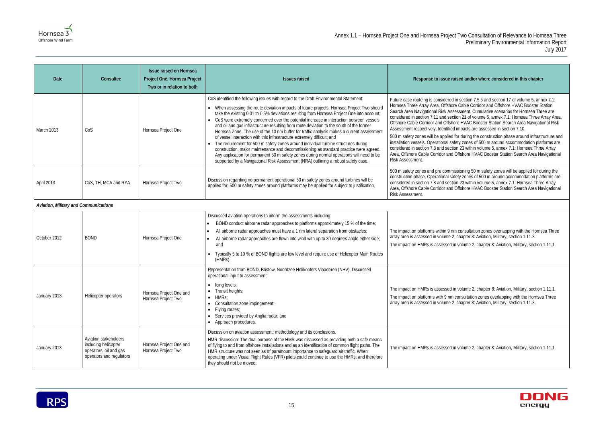#### sed and/or where considered in this chapter

 $n$  section 7.5.5 and section 17 of volume 5, annex 7.1: **Cable Corridor and Offshore HVAC Booster Station** essment. Cumulative scenarios for Hornsea Three are ion 21 of volume 5, annex 7.1: Hornsea Three Array Area, ore HVAC Booster Station Search Area Navigational Risk impacts are assessed in section 7.10.

for during the construction phase around infrastructure and iety zones of 500 m around accommodation platforms are on 23 within volume 5, annex 7.1: Hornsea Three Array Offshore HVAC Booster Station Search Area Navigational

ssioning 50 m safety zones will be applied for during the ety zones of 500 m around accommodation platforms are on 23 within volume 5, annex 7.1: Hornsea Three Array Offshore HVAC Booster Station Search Area Navigational

n consultation zones overlapping with the Hornsea Three chapter 8: Aviation, Military, section 1.11.3. volume 2, chapter 8: Aviation, Military, section 1.11.1.

volume 2, chapter 8: Aviation, Military, section 1.11.1. consultation zones overlapping with the Hornsea Three chapter 8: Aviation, Military, section 1.11.3.

volume 2, chapter 8: Aviation, Military, section 1.11.1.



| <b>Date</b>                           | Consultee                                                                                           | <b>Issue raised on Hornsea</b><br>Project One, Hornsea Project<br>Two or in relation to both | <b>Issues raised</b>                                                                                                                                                                                                                                                                                                                                                                                                                                                                                                                                                                                                                                                                                                                                                                                                                                                                                                                                                                                              | Response to issue rai:                                                                                                                                                                                                                                                                                                                                                                                                             |
|---------------------------------------|-----------------------------------------------------------------------------------------------------|----------------------------------------------------------------------------------------------|-------------------------------------------------------------------------------------------------------------------------------------------------------------------------------------------------------------------------------------------------------------------------------------------------------------------------------------------------------------------------------------------------------------------------------------------------------------------------------------------------------------------------------------------------------------------------------------------------------------------------------------------------------------------------------------------------------------------------------------------------------------------------------------------------------------------------------------------------------------------------------------------------------------------------------------------------------------------------------------------------------------------|------------------------------------------------------------------------------------------------------------------------------------------------------------------------------------------------------------------------------------------------------------------------------------------------------------------------------------------------------------------------------------------------------------------------------------|
| March 2013                            | CoS                                                                                                 | Hornsea Project One                                                                          | CoS identified the following issues with regard to the Draft Environmental Statement:<br>• When assessing the route deviation impacts of future projects, Hornsea Project Two should<br>take the existing 0.01 to 0.5% deviations resulting from Hornsea Project One into account;<br>CoS were extremely concerned over the potential increase in interaction between vessels<br>and oil and gas infrastructure resulting from route deviation to the south of the former<br>Hornsea Zone. The use of the 10 nm buffer for traffic analysis makes a current assessment<br>of vessel interaction with this infrastructure extremely difficult; and<br>The requirement for 500 m safety zones around individual turbine structures during<br>construction, major maintenance and decommissioning as standard practice were agreed.<br>Any application for permanent 50 m safety zones during normal operations will need to be<br>supported by a Navigational Risk Assessment (NRA) outlining a robust safety case. | Future case routeing is considered in<br>Hornsea Three Array Area, Offshore<br>Search Area Navigational Risk Asse<br>considered in section 7.11 and section<br>Offshore Cable Corridor and Offshor<br>Assessment respectively. Identified i<br>500 m safety zones will be applied fo<br>installation vessels. Operational safe<br>considered in section 7.8 and section<br>Area, Offshore Cable Corridor and C<br>Risk Assessment. |
| April 2013                            | CoS, TH, MCA and RYA                                                                                | Hornsea Project Two                                                                          | Discussion regarding no permanent operational 50 m safety zones around turbines will be<br>applied for; 500 m safety zones around platforms may be applied for subject to justification.                                                                                                                                                                                                                                                                                                                                                                                                                                                                                                                                                                                                                                                                                                                                                                                                                          | 500 m safety zones and pre commis<br>construction phase. Operational safe<br>considered in section 7.8 and section<br>Area, Offshore Cable Corridor and C<br>Risk Assessment.                                                                                                                                                                                                                                                      |
| Aviation, Military and Communications |                                                                                                     |                                                                                              |                                                                                                                                                                                                                                                                                                                                                                                                                                                                                                                                                                                                                                                                                                                                                                                                                                                                                                                                                                                                                   |                                                                                                                                                                                                                                                                                                                                                                                                                                    |
| October 2012                          | <b>BOND</b>                                                                                         | Hornsea Project One                                                                          | Discussed aviation operations to inform the assessments including:<br>BOND conduct airborne radar approaches to platforms approximately 15 % of the time;<br>All airborne radar approaches must have a 1 nm lateral separation from obstacles;<br>$\bullet$<br>All airborne radar approaches are flown into wind with up to 30 degrees angle either side;<br>and<br>Typically 5 to 10 % of BOND flights are low level and require use of Helicopter Main Routes<br>(HMRs).                                                                                                                                                                                                                                                                                                                                                                                                                                                                                                                                        | The impact on platforms within 9 nm<br>array area is assessed in volume 2,<br>The impact on HMRs is assessed in                                                                                                                                                                                                                                                                                                                    |
| January 2013                          | Helicopter operators                                                                                | Hornsea Project One and<br>Hornsea Project Two                                               | Representation from BOND, Bristow, Noordzee Helikopters Vlaaderen (NHV). Discussed<br>operational input to assessment:<br>$\bullet$ Icing levels;<br>Transit heights;<br>HMRs;<br>Consultation zone impingement;<br>Flying routes;<br>Services provided by Anglia radar; and<br>$\bullet$<br>Approach procedures.<br>$\bullet$                                                                                                                                                                                                                                                                                                                                                                                                                                                                                                                                                                                                                                                                                    | The impact on HMRs is assessed in<br>The impact on platforms with 9 nm c<br>array area is assessed in volume 2,                                                                                                                                                                                                                                                                                                                    |
| January 2013                          | Aviation stakeholders<br>including helicopter<br>operators, oil and gas<br>operators and regulators | Hornsea Project One and<br>Hornsea Project Two                                               | Discussion on aviation assessment; methodology and its conclusions.<br>HMR discussion: The dual purpose of the HMR was discussed as providing both a safe means<br>of flying to and from offshore installations and as an identification of common flight paths. The<br>HMR structure was not seen as of paramount importance to safeguard air traffic. When<br>operating under Visual Flight Rules (VFR) pilots could continue to use the HMRs. and therefore<br>they should not be moved.                                                                                                                                                                                                                                                                                                                                                                                                                                                                                                                       | The impact on HMRs is assessed in                                                                                                                                                                                                                                                                                                                                                                                                  |

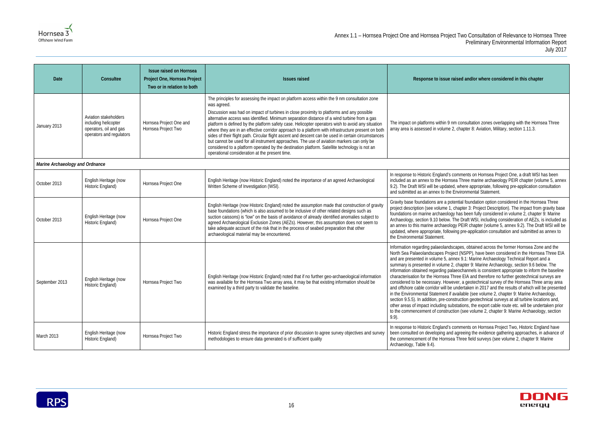### **Ised and/or where considered in this chapter** I consultation zones overlapping with the Hornsea Three chapter 8: Aviation, Military, section 1.11.3. In response to Hornsea Project One, a draft WSI has been **Three marine archaeology PEIR chapter (volume 5, annex** where appropriate, following pre-application consultation and submitted statement. ntial foundation option considered in the Hornsea Three hapter 3: Project Description). The impact from gravity base has been fully considered in volume 2, chapter 9: Marine he Draft WSI, including consideration of AEZs, is included as  $\alpha$  PEIR chapter (volume 5, annex 9.2). The Draft WSI will be ig pre-application consultation and submitted as annex to apes, obtained across the former Hornsea Zone and the t<br>(NSPP), have been considered in the Hornsea Three EIA ex 9.1: Marine Archaeology Technical Report and a chapter 9: Marine Archaeology, section 9.6 below. The eochannels is consistent appropriate to inform the baseline ree EIA and therefore no further geotechnical surveys are er, a geotechnical survey of the Hornsea Three array area ndertaken in 2017 and the results of which will be presented vailable (see volume 2, chapter 9: Marine Archaeology, ruction geotechnical surveys at all turbine locations and, tations, the export cable route etc. will be undertaken prior on (see volume 2, chapter 9: Marine Archaeology, section

In response to Hornsea Project Two, Historic England have agreeing the evidence gathering approaches, in advance of Three field surveys (see volume 2, chapter 9: Marine



| Date                            | Consultee                                                                                           | <b>Issue raised on Hornsea</b><br>Project One, Hornsea Project<br>Two or in relation to both | <b>Issues raised</b>                                                                                                                                                                                                                                                                                                                                                                                                                                                                                                                                                                                                                                                                                                                                                                                                                                                      | Response to issue rais                                                                                                                                                                                                                                                                                                                                                                                                                                                                                |
|---------------------------------|-----------------------------------------------------------------------------------------------------|----------------------------------------------------------------------------------------------|---------------------------------------------------------------------------------------------------------------------------------------------------------------------------------------------------------------------------------------------------------------------------------------------------------------------------------------------------------------------------------------------------------------------------------------------------------------------------------------------------------------------------------------------------------------------------------------------------------------------------------------------------------------------------------------------------------------------------------------------------------------------------------------------------------------------------------------------------------------------------|-------------------------------------------------------------------------------------------------------------------------------------------------------------------------------------------------------------------------------------------------------------------------------------------------------------------------------------------------------------------------------------------------------------------------------------------------------------------------------------------------------|
| January 2013                    | Aviation stakeholders<br>including helicopter<br>operators, oil and gas<br>operators and regulators | Hornsea Project One and<br>Hornsea Project Two                                               | The principles for assessing the impact on platform access within the 9 nm consultation zone<br>was agreed.<br>Discussion was had on impact of turbines in close proximity to platforms and any possible<br>alternative access was identified. Minimum separation distance of a wind turbine from a gas<br>platform is defined by the platform safety case. Helicopter operators wish to avoid any situation<br>where they are in an effective corridor approach to a platform with infrastructure present on both<br>sides of their flight path. Circular flight ascent and descent can be used in certain circumstances<br>but cannot be used for all instrument approaches. The use of aviation markers can only be<br>considered to a platform operated by the destination platform. Satellite technology is not an<br>operational consideration at the present time. | The impact on platforms within 9 nm<br>array area is assessed in volume 2,                                                                                                                                                                                                                                                                                                                                                                                                                            |
| Marine Archaeology and Ordnance |                                                                                                     |                                                                                              |                                                                                                                                                                                                                                                                                                                                                                                                                                                                                                                                                                                                                                                                                                                                                                                                                                                                           |                                                                                                                                                                                                                                                                                                                                                                                                                                                                                                       |
| October 2013                    | English Heritage (now<br>Historic England)                                                          | Hornsea Project One                                                                          | English Heritage (now Historic England) noted the importance of an agreed Archaeological<br>Written Scheme of Investigation (WSI).                                                                                                                                                                                                                                                                                                                                                                                                                                                                                                                                                                                                                                                                                                                                        | In response to Historic England's cor<br>included as an annex to the Hornsea<br>9.2). The Draft WSI will be updated,<br>and submitted as an annex to the En                                                                                                                                                                                                                                                                                                                                           |
| October 2013                    | English Heritage (now<br>Historic England)                                                          | Hornsea Project One                                                                          | English Heritage (now Historic England) noted the assumption made that construction of gravity<br>base foundations (which is also assumed to be inclusive of other related designs such as<br>suction caissons) is "low" on the basis of avoidance of already identified anomalies subject to<br>agreed Archaeological Exclusion Zones (AEZs). However, this assumption does not seem to<br>take adequate account of the risk that in the process of seabed preparation that other<br>archaeological material may be encountered.                                                                                                                                                                                                                                                                                                                                         | Gravity base foundations are a poter<br>project description (see volume 1, ch<br>foundations on marine archaeology h<br>Archaeology, section 9.10 below. Th<br>an annex to this marine archaeology<br>updated, where appropriate, followin<br>the Environmental Statement.                                                                                                                                                                                                                            |
| September 2013                  | English Heritage (now<br>Historic England)                                                          | Hornsea Project Two                                                                          | English Heritage (now Historic England) noted that if no further geo-archaeological information<br>was available for the Hornsea Two array area, it may be that existing information should be<br>examined by a third party to validate the baseline.                                                                                                                                                                                                                                                                                                                                                                                                                                                                                                                                                                                                                     | Information regarding palaeolandsca<br>North Sea Palaeolandscapes Projec<br>and are presented in volume 5, anne<br>summary is presented in volume 2, o<br>information obtained regarding palae<br>characterisation for the Hornsea Thre<br>considered to be necessary. Howeve<br>and offshore cable corridor will be ur<br>in the Environmental Statement if av<br>section 9.5.5). In addition, pre-constr<br>other areas of impact including subst<br>to the commencement of constructio<br>$9.9$ ). |
| March 2013                      | English Heritage (now<br>Historic England)                                                          | Hornsea Project Two                                                                          | Historic England stress the importance of prior discussion to agree survey objectives and survey<br>methodologies to ensure data generated is of sufficient quality                                                                                                                                                                                                                                                                                                                                                                                                                                                                                                                                                                                                                                                                                                       | In response to Historic England's cor<br>been consulted on developing and a<br>the commencement of the Hornsea<br>Archaeology, Table 9.4).                                                                                                                                                                                                                                                                                                                                                            |

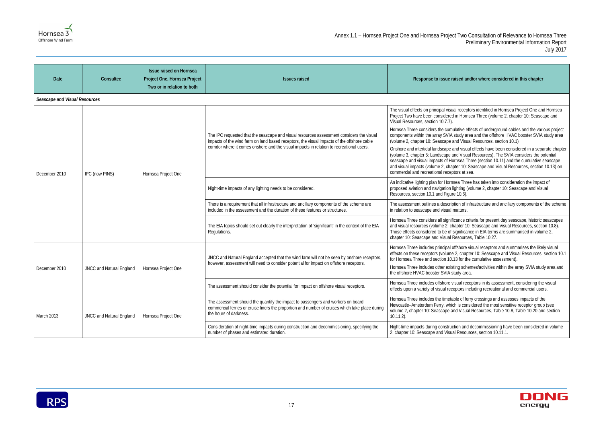



| <b>Date</b>                   | Consultee                       | <b>Issue raised on Hornsea</b><br>Project One, Hornsea Project<br>Two or in relation to both | <b>Issues raised</b>                                                                                                                                                                                                                                                                | Response to issue raised and/or where considered in this chapter                                                                                                                                                                                                                                                                                                                                                                     |
|-------------------------------|---------------------------------|----------------------------------------------------------------------------------------------|-------------------------------------------------------------------------------------------------------------------------------------------------------------------------------------------------------------------------------------------------------------------------------------|--------------------------------------------------------------------------------------------------------------------------------------------------------------------------------------------------------------------------------------------------------------------------------------------------------------------------------------------------------------------------------------------------------------------------------------|
| Seascape and Visual Resources |                                 |                                                                                              |                                                                                                                                                                                                                                                                                     |                                                                                                                                                                                                                                                                                                                                                                                                                                      |
| December 2010                 | IPC (now PINS)                  | Hornsea Project One                                                                          | The IPC requested that the seascape and visual resources assessment considers the visual<br>impacts of the wind farm on land based receptors, the visual impacts of the offshore cable<br>corridor where it comes onshore and the visual impacts in relation to recreational users. | The visual effects on principal visual receptors identified in Hornsea Project One and Hornsea<br>Project Two have been considered in Hornsea Three (volume 2, chapter 10: Seascape and<br>Visual Resources, section 10.7.7).                                                                                                                                                                                                        |
|                               |                                 |                                                                                              |                                                                                                                                                                                                                                                                                     | Hornsea Three considers the cumulative effects of underground cables and the various project<br>components within the array SVIA study area and the offshore HVAC booster SVIA study area<br>(volume 2, chapter 10: Seascape and Visual Resources, section 10.1)                                                                                                                                                                     |
|                               |                                 |                                                                                              |                                                                                                                                                                                                                                                                                     | Onshore and intertidal landscape and visual effects have been considered in a separate chapter<br>(volume 3, chapter 5: Landscape and Visual Resources). The SVIA considers the potential<br>seascape and visual impacts of Hornsea Three (section 10.11) and the cumulative seascape<br>and visual impacts (volume 2, chapter 10: Seascape and Visual Resources, section 10.13) on<br>commercial and recreational receptors at sea. |
|                               |                                 |                                                                                              | Night-time impacts of any lighting needs to be considered.                                                                                                                                                                                                                          | An indicative lighting plan for Hornsea Three has taken into consideration the impact of<br>proposed aviation and navigation lighting (volume 2, chapter 10: Seascape and Visual<br>Resources, section 10.1 and Figure 10.6).                                                                                                                                                                                                        |
|                               |                                 |                                                                                              | There is a requirement that all infrastructure and ancillary components of the scheme are<br>included in the assessment and the duration of these features or structures.                                                                                                           | The assessment outlines a description of infrastructure and ancillary components of the scheme<br>in relation to seascape and visual matters.                                                                                                                                                                                                                                                                                        |
|                               |                                 |                                                                                              | The EIA topics should set out clearly the interpretation of 'significant' in the context of the EIA<br>Regulations.                                                                                                                                                                 | Hornsea Three considers all significance criteria for present day seascape, historic seascapes<br>and visual resources (volume 2, chapter 10: Seascape and Visual Resources, section 10.8).<br>Those effects considered to be of significance in EIA terms are summarised in volume 2,<br>chapter 10: Seascape and Visual Resources, Table 10.27.                                                                                    |
| December 2010                 | <b>JNCC and Natural England</b> | Hornsea Project One                                                                          | JNCC and Natural England accepted that the wind farm will not be seen by onshore receptors,<br>however, assessment will need to consider potential for impact on offshore receptors.                                                                                                | Hornsea Three includes principal offshore visual receptors and summarises the likely visual<br>effects on these receptors (volume 2, chapter 10: Seascape and Visual Resources, section 10.1<br>for Hornsea Three and section 10.13 for the cumulative assessment).<br>Hornsea Three includes other existing schemes/activities within the array SVIA study area and<br>the offshore HVAC booster SVIA study area.                   |
|                               |                                 |                                                                                              | The assessment should consider the potential for impact on offshore visual receptors.                                                                                                                                                                                               | Hornsea Three includes offshore visual receptors in its assessment, considering the visual<br>effects upon a variety of visual receptors including recreational and commercial users.                                                                                                                                                                                                                                                |
| March 2013                    | JNCC and Natural England        | Hornsea Project One                                                                          | The assessment should the quantify the impact to passengers and workers on board<br>commercial ferries or cruise liners the proportion and number of cruises which take place during<br>the hours of darkness.                                                                      | Hornsea Three includes the timetable of ferry crossings and assesses impacts of the<br>Newcastle-Amsterdam Ferry, which is considered the most sensitive receptor group (see<br>volume 2, chapter 10: Seascape and Visual Resources, Table 10.8, Table 10.20 and section<br>$10.11.2$ ).                                                                                                                                             |
|                               |                                 |                                                                                              | Consideration of night-time impacts during construction and decommissioning, specifying the<br>number of phases and estimated duration.                                                                                                                                             | Night-time impacts during construction and decommissioning have been considered in volume<br>2, chapter 10: Seascape and Visual Resources, section 10.11.1.                                                                                                                                                                                                                                                                          |

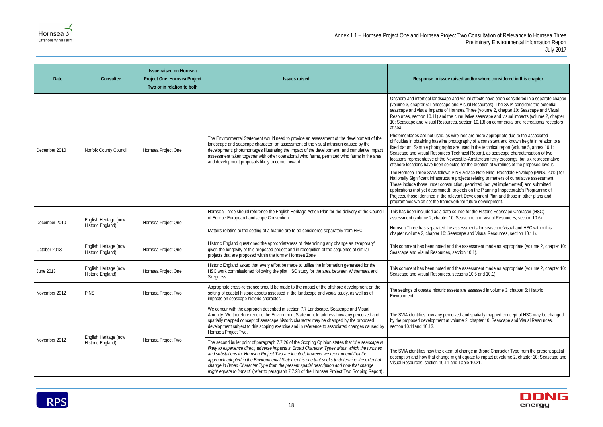#### **Ised and/or where considered in this chapter**

nd visual effects have been considered in a separate chapter ad Visual Resources). The SVIA considers the potential nsea Three (volume 2, chapter 10: Seascape and Visual cumulative seascape and visual impacts (volume 2, chapter s, section 10.13) on commercial and recreational receptors

relines are more appropriate due to the associated tography of a consistent and known height in relation to a  $\frac{1}{10}$  in the technical report (volume 5, annex 10.1: echnical Report), as seascape characterisation of two castle–Amsterdam ferry crossings, but six representative ed for the creation of wirelines of the proposed layout.

NS Advice Note Nine: Rochdale Envelope (PINS, 2012) for projects relating to matters of cumulative assessment. tion, permitted (not yet implemented) and submitted rojects on the Planning Inspectorate's Programme of vant Development Plan and those in other plans and rk for future development.

ource for the Historic Seascape Character (HSC) Seascape and Visual Resources, section 10.6).

ssessments for seascape/visual and HSC within this scape and Visual Resources, section 10.11).

the assessment made as appropriate (volume 2, chapter 10: ection 10.1).

the assessment made as appropriate (volume 2, chapter 10: ections 10.5 and 10.1)

ts are assessed in volume 3, chapter 5: Historic

ved and spatially mapped concept of HSC may be changed ume 2, chapter 10: Seascape and Visual Resources,

of change in Broad Character Type from the present spatial ght equate to impact at volume 2, chapter 10: Seascape and Table 10.21.



| Date          | Consultee                                  | <b>Issue raised on Hornsea</b><br>Project One, Hornsea Project<br>Two or in relation to both | <b>Issues raised</b>                                                                                                                                                                                                                                                                                                                                                                                                                                                                                                                                                                  | Response to issue rai:                                                                                                                                                                                                                                                                                                                                                                                                                                                                                                                                                                                                                                                                                |
|---------------|--------------------------------------------|----------------------------------------------------------------------------------------------|---------------------------------------------------------------------------------------------------------------------------------------------------------------------------------------------------------------------------------------------------------------------------------------------------------------------------------------------------------------------------------------------------------------------------------------------------------------------------------------------------------------------------------------------------------------------------------------|-------------------------------------------------------------------------------------------------------------------------------------------------------------------------------------------------------------------------------------------------------------------------------------------------------------------------------------------------------------------------------------------------------------------------------------------------------------------------------------------------------------------------------------------------------------------------------------------------------------------------------------------------------------------------------------------------------|
| December 2010 | Norfolk County Council                     | Hornsea Project One                                                                          | The Environmental Statement would need to provide an assessment of the development of the<br>landscape and seascape character; an assessment of the visual intrusion caused by the<br>development; photomontages illustrating the impact of the development; and cumulative impact<br>assessment taken together with other operational wind farms, permitted wind farms in the area<br>and development proposals likely to come forward.                                                                                                                                              | Onshore and intertidal landscape an<br>(volume 3, chapter 5: Landscape and<br>seascape and visual impacts of Horr<br>Resources, section 10.11) and the c<br>10: Seascape and Visual Resources<br>at sea.<br>Photomontages are not used, as wir<br>difficulties in obtaining baseline phot<br>fixed datum. Sample photographs ar<br>Seascape and Visual Resources Ter<br>locations representative of the Newc<br>offshore locations have been selecte<br>The Hornsea Three SVIA follows PII<br>Nationally Significant Infrastructure p<br>These include those under construct<br>applications (not yet determined); pr<br>Projects, those identified in the relev<br>programmes which set the framewor |
| December 2010 | English Heritage (now<br>Historic England) | Hornsea Project One                                                                          | Hornsea Three should reference the English Heritage Action Plan for the delivery of the Council<br>of Europe European Landscape Convention.                                                                                                                                                                                                                                                                                                                                                                                                                                           | This has been included as a data so<br>assessment (volume 2, chapter 10: 9                                                                                                                                                                                                                                                                                                                                                                                                                                                                                                                                                                                                                            |
|               |                                            |                                                                                              | Matters relating to the setting of a feature are to be considered separately from HSC.                                                                                                                                                                                                                                                                                                                                                                                                                                                                                                | Hornsea Three has separated the as<br>chapter (volume 2, chapter 10: Seas                                                                                                                                                                                                                                                                                                                                                                                                                                                                                                                                                                                                                             |
| October 2013  | English Heritage (now<br>Historic England) | Hornsea Project One                                                                          | Historic England questioned the appropriateness of determining any change as 'temporary'<br>given the longevity of this proposed project and in recognition of the sequence of similar<br>projects that are proposed within the former Hornsea Zone.                                                                                                                                                                                                                                                                                                                                  | This comment has been noted and t<br>Seascape and Visual Resources, se                                                                                                                                                                                                                                                                                                                                                                                                                                                                                                                                                                                                                                |
| June 2013     | English Heritage (now<br>Historic England) | Hornsea Project One                                                                          | Historic England asked that every effort be made to utilise the information generated for the<br>HSC work commissioned following the pilot HSC study for the area between Withernsea and<br>Skegness                                                                                                                                                                                                                                                                                                                                                                                  | This comment has been noted and t<br>Seascape and Visual Resources, se                                                                                                                                                                                                                                                                                                                                                                                                                                                                                                                                                                                                                                |
| November 2012 | <b>PINS</b>                                | Hornsea Project Two                                                                          | Appropriate cross-reference should be made to the impact of the offshore development on the<br>setting of coastal historic assets assessed in the landscape and visual study, as well as of<br>impacts on seascape historic character.                                                                                                                                                                                                                                                                                                                                                | The settings of coastal historic asset<br>Environment.                                                                                                                                                                                                                                                                                                                                                                                                                                                                                                                                                                                                                                                |
| November 2012 | English Heritage (now<br>Historic England) | Hornsea Project Two                                                                          | We concur with the approach described in section 7.7 Landscape, Seascape and Visual<br>Amenity. We therefore require the Environment Statement to address how any perceived and<br>spatially mapped concept of seascape historic character may be changed by the proposed<br>development subject to this scoping exercise and in reference to associated changes caused by<br>Hornsea Project Two.                                                                                                                                                                                    | The SVIA identifies how any perceiv<br>by the proposed development at volu<br>section 10.11 and 10.13.                                                                                                                                                                                                                                                                                                                                                                                                                                                                                                                                                                                                |
|               |                                            |                                                                                              | The second bullet point of paragraph 7.7.26 of the Scoping Opinion states that "the seascape is<br>likely to experience direct, adverse impacts in Broad Character Types within which the turbines<br>and substations for Hornsea Project Two are located, however we recommend that the<br>approach adopted in the Environmental Statement is one that seeks to determine the extent of<br>change in Broad Character Type from the present spatial description and how that change<br>might equate to impact" (refer to paragraph 7.7.28 of the Hornsea Project Two Scoping Report). | The SVIA identifies how the extent o<br>description and how that change mig<br>Visual Resources, section 10.11 and                                                                                                                                                                                                                                                                                                                                                                                                                                                                                                                                                                                    |

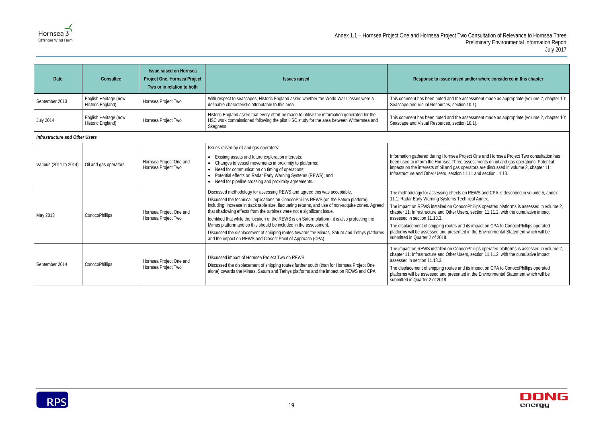### Annex 1.1 – Hornsea Project One and Hornsea Project Two Consultation of Relevance to Hornsea Three Preliminary Environmental Information Report July 2017

### sed and/or where considered in this chapter

the assessment made as appropriate (volume 2, chapter 10: ection 10.1).

the assessment made as appropriate (volume 2, chapter 10: ection 10.1).

a Project One and Hornsea Project Two consultation has hree assessments on oil and gas operations. Potential as operators are discussed in volume 2, chapter 11:  $\frac{1}{10}$  and section 11.13.

ects on REWS and CPA is described in volume 5, annex s Technical Annex.

ConocoPhillips operated platforms is assessed in volume 2, r Users, section 11.11.2, with the cumulative impact

and its impact on CPA to ConocoPhillips operated sented in the Environmental Statement which will be

ConocoPhillips operated platforms is assessed in volume 2, r Users, section 11.11.2, with the cumulative impact

and its impact on CPA to ConocoPhillips operated sented in the Environmental Statement which will be



| Date                           | Consultee                                  | <b>Issue raised on Hornsea</b><br>Project One, Hornsea Project<br>Two or in relation to both | <b>Issues raised</b>                                                                                                                                                                                                                                                                                                                                                                                                                                                                                                                                                                                                                                                                   | Response to issue rait                                                                                                                                                                                                                                                                                  |  |  |  |
|--------------------------------|--------------------------------------------|----------------------------------------------------------------------------------------------|----------------------------------------------------------------------------------------------------------------------------------------------------------------------------------------------------------------------------------------------------------------------------------------------------------------------------------------------------------------------------------------------------------------------------------------------------------------------------------------------------------------------------------------------------------------------------------------------------------------------------------------------------------------------------------------|---------------------------------------------------------------------------------------------------------------------------------------------------------------------------------------------------------------------------------------------------------------------------------------------------------|--|--|--|
| September 2013                 | English Heritage (now<br>Historic England) | Hornsea Project Two                                                                          | With respect to seascapes, Historic England asked whether the World War I losses were a<br>definable characteristic attributable to this area.                                                                                                                                                                                                                                                                                                                                                                                                                                                                                                                                         | This comment has been noted and t<br>Seascape and Visual Resources, se                                                                                                                                                                                                                                  |  |  |  |
| <b>July 2014</b>               | English Heritage (now<br>Historic England) | Hornsea Project Two                                                                          | Historic England asked that every effort be made to utilise the information generated for the<br>HSC work commissioned following the pilot HSC study for the area between Withernsea and<br>Skegness                                                                                                                                                                                                                                                                                                                                                                                                                                                                                   | This comment has been noted and t<br>Seascape and Visual Resources, se                                                                                                                                                                                                                                  |  |  |  |
| Infrastructure and Other Users |                                            |                                                                                              |                                                                                                                                                                                                                                                                                                                                                                                                                                                                                                                                                                                                                                                                                        |                                                                                                                                                                                                                                                                                                         |  |  |  |
| Various (2011 to 2014)         | Oil and gas operators                      | Hornsea Project One and<br>Hornsea Project Two                                               | Issues raised by oil and gas operators:<br>Existing assets and future exploration interests;<br>Changes to vessel movements in proximity to platforms;<br>Need for communication on timing of operations;<br>Potential effects on Radar Early Warning Systems (REWS); and<br>$\bullet$<br>Need for pipeline crossing and proximity agreements.                                                                                                                                                                                                                                                                                                                                         | Information gathered during Hornsea<br>been used to inform the Hornsea Th<br>impacts on the interests of oil and ga<br>Infrastructure and Other Users, secti                                                                                                                                            |  |  |  |
| May 2013                       | ConocoPhillips                             | Hornsea Project One and<br>Hornsea Project Two                                               | Discussed methodology for assessing REWS and agreed this was acceptable.<br>Discussed the technical implications on ConocoPhillips REWS (on the Saturn platform)<br>including: increase in track table size, fluctuating returns, and use of non-acquire zones. Agreed<br>that shadowing effects from the turbines were not a significant issue.<br>Identified that while the location of the REWS is on Saturn platform, it is also protecting the<br>Mimas platform and so this should be included in the assessment.<br>Discussed the displacement of shipping routes towards the Mimas, Saturn and Tethys platforms<br>and the impact on REWS and Closest Point of Approach (CPA). | The methodology for assessing effer<br>11.1: Radar Early Warning Systems<br>The impact on REWS installed on C<br>chapter 11: Infrastructure and Other<br>assessed in section 11.13.3.<br>The displacement of shipping routes<br>platforms will be assessed and prese<br>submitted in Quarter 2 of 2018. |  |  |  |
| September 2014                 | ConocoPhillips                             | Hornsea Project One and<br>Hornsea Project Two                                               | Discussed impact of Hornsea Project Two on REWS.<br>Discussed the displacement of shipping routes further south (than for Hornsea Project One<br>alone) towards the Mimas, Saturn and Tethys platforms and the impact on REWS and CPA.                                                                                                                                                                                                                                                                                                                                                                                                                                                 | The impact on REWS installed on C<br>chapter 11: Infrastructure and Other<br>assessed in section 11.13.3.<br>The displacement of shipping routes<br>platforms will be assessed and prese<br>submitted in Quarter 2 of 2018.                                                                             |  |  |  |